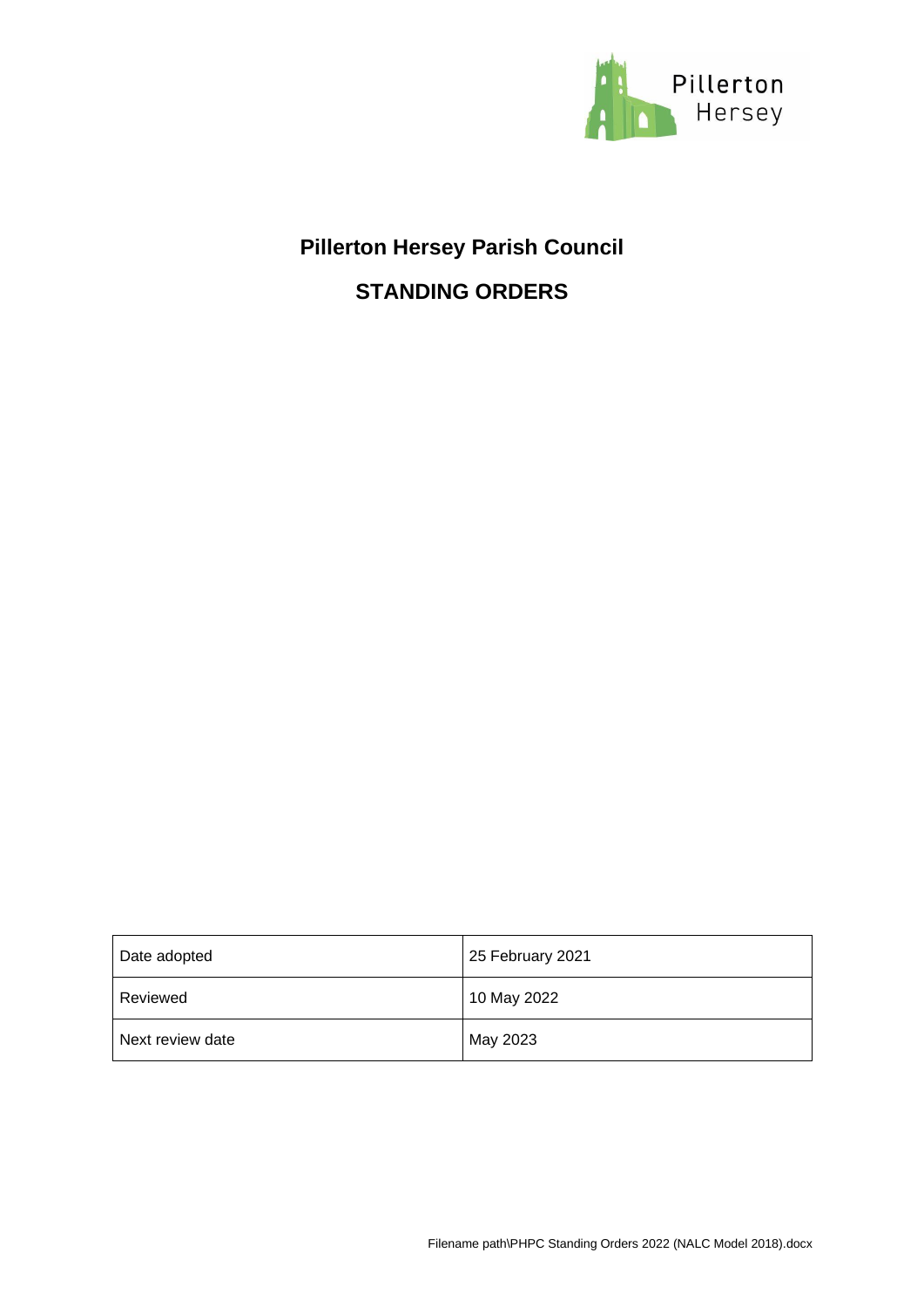

# **Pillerton Hersey Parish Council STANDING ORDERS**

| Date adopted     | 25 February 2021 |
|------------------|------------------|
| Reviewed         | 10 May 2022      |
| Next review date | May 2023         |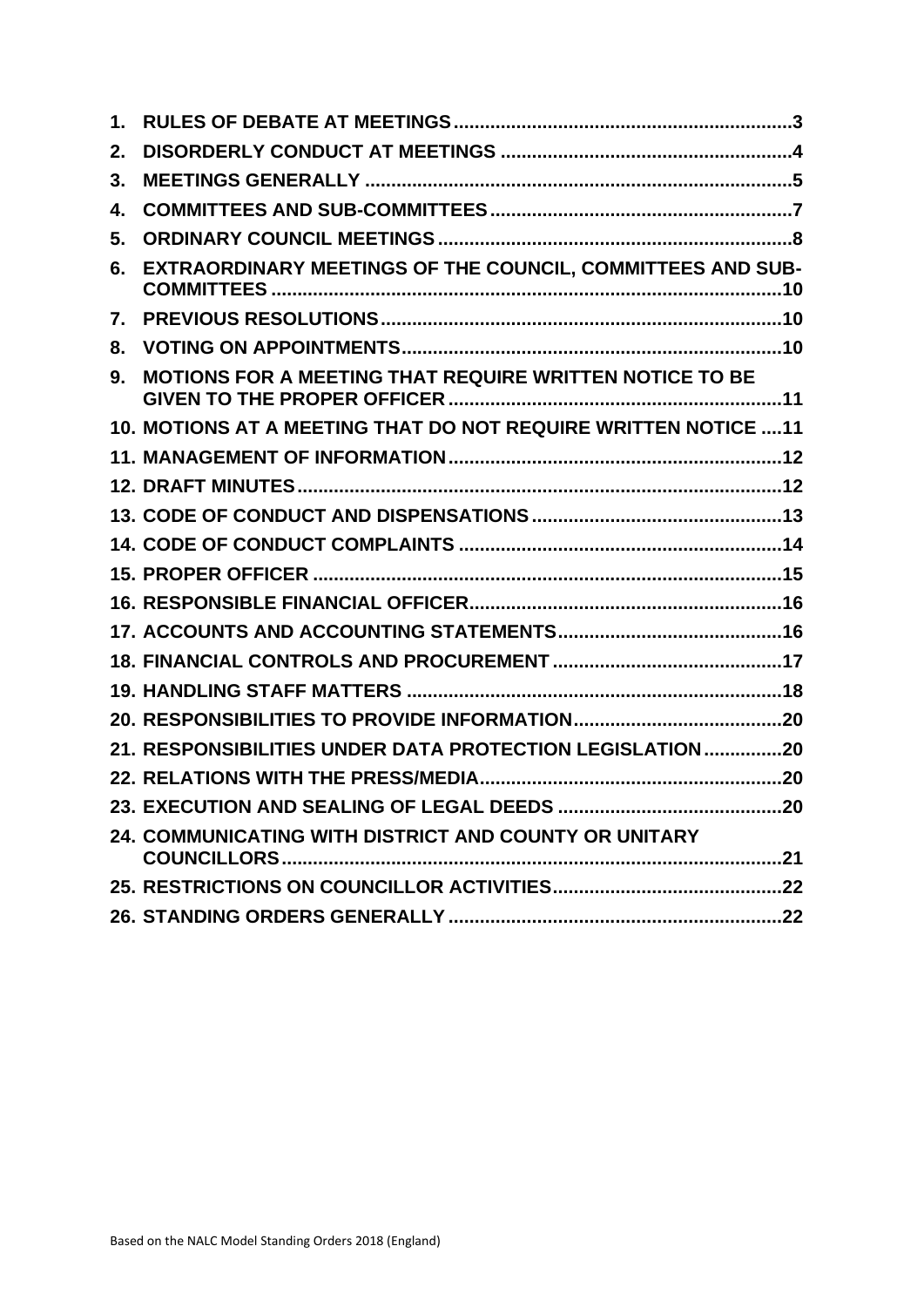| 1. |                                                                 |
|----|-----------------------------------------------------------------|
| 2. |                                                                 |
| 3. |                                                                 |
| 4. |                                                                 |
| 5. |                                                                 |
| 6. | EXTRAORDINARY MEETINGS OF THE COUNCIL, COMMITTEES AND SUB-      |
| 7. |                                                                 |
| 8. |                                                                 |
| 9. | MOTIONS FOR A MEETING THAT REQUIRE WRITTEN NOTICE TO BE         |
|    | 10. MOTIONS AT A MEETING THAT DO NOT REQUIRE WRITTEN NOTICE  11 |
|    |                                                                 |
|    |                                                                 |
|    |                                                                 |
|    |                                                                 |
|    |                                                                 |
|    |                                                                 |
|    |                                                                 |
|    |                                                                 |
|    |                                                                 |
|    |                                                                 |
|    | 21. RESPONSIBILITIES UNDER DATA PROTECTION LEGISLATION20        |
|    |                                                                 |
|    |                                                                 |
|    | 24. COMMUNICATING WITH DISTRICT AND COUNTY OR UNITARY           |
|    |                                                                 |
|    |                                                                 |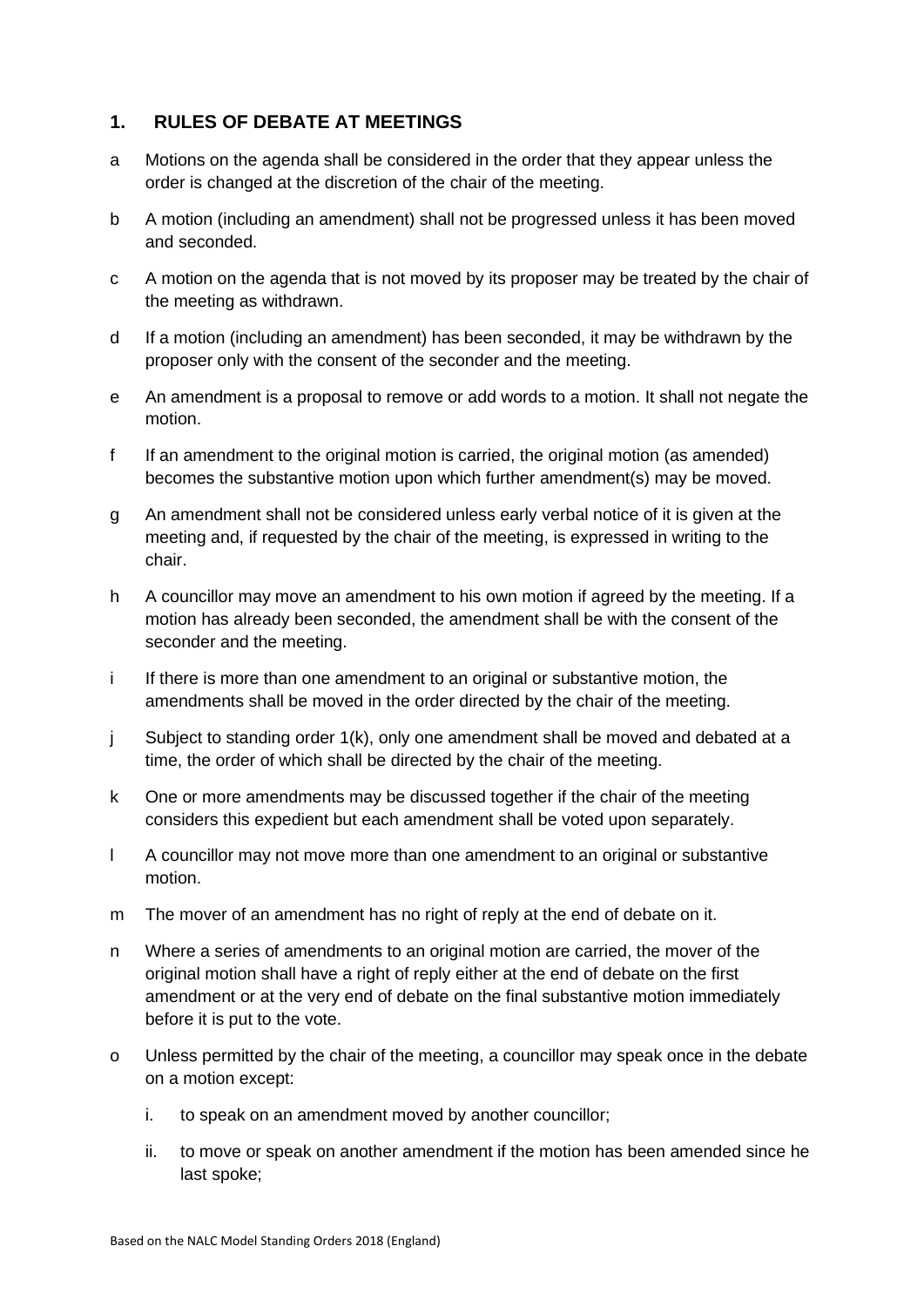## <span id="page-2-0"></span>**1. RULES OF DEBATE AT MEETINGS**

- a Motions on the agenda shall be considered in the order that they appear unless the order is changed at the discretion of the chair of the meeting.
- b A motion (including an amendment) shall not be progressed unless it has been moved and seconded.
- c A motion on the agenda that is not moved by its proposer may be treated by the chair of the meeting as withdrawn.
- d If a motion (including an amendment) has been seconded, it may be withdrawn by the proposer only with the consent of the seconder and the meeting.
- e An amendment is a proposal to remove or add words to a motion. It shall not negate the motion.
- f If an amendment to the original motion is carried, the original motion (as amended) becomes the substantive motion upon which further amendment(s) may be moved.
- g An amendment shall not be considered unless early verbal notice of it is given at the meeting and, if requested by the chair of the meeting, is expressed in writing to the chair.
- h A councillor may move an amendment to his own motion if agreed by the meeting. If a motion has already been seconded, the amendment shall be with the consent of the seconder and the meeting.
- i If there is more than one amendment to an original or substantive motion, the amendments shall be moved in the order directed by the chair of the meeting.
- j Subject to standing order 1(k), only one amendment shall be moved and debated at a time, the order of which shall be directed by the chair of the meeting.
- k One or more amendments may be discussed together if the chair of the meeting considers this expedient but each amendment shall be voted upon separately.
- l A councillor may not move more than one amendment to an original or substantive motion.
- m The mover of an amendment has no right of reply at the end of debate on it.
- n Where a series of amendments to an original motion are carried, the mover of the original motion shall have a right of reply either at the end of debate on the first amendment or at the very end of debate on the final substantive motion immediately before it is put to the vote.
- o Unless permitted by the chair of the meeting, a councillor may speak once in the debate on a motion except:
	- i. to speak on an amendment moved by another councillor;
	- ii. to move or speak on another amendment if the motion has been amended since he last spoke;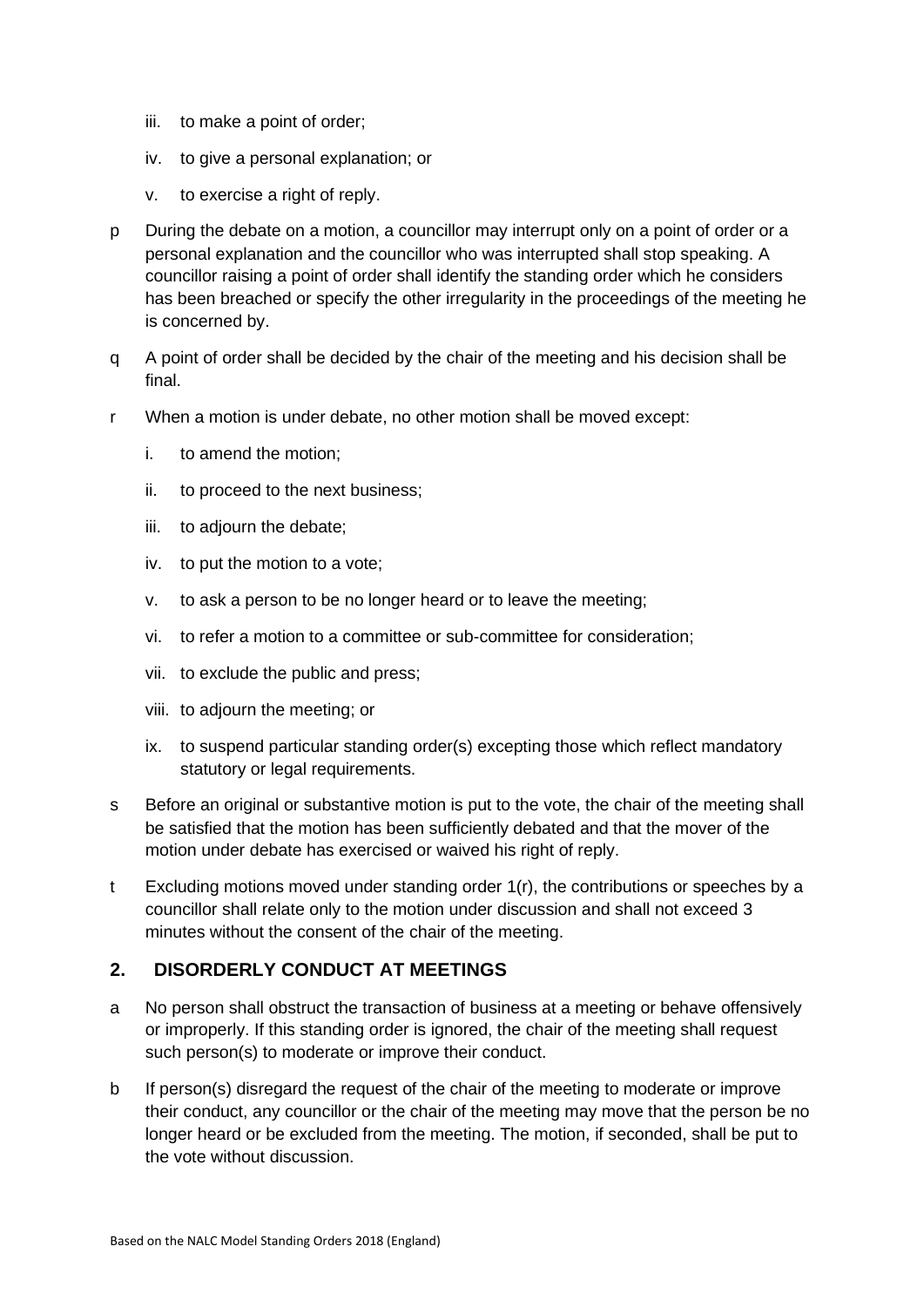- iii. to make a point of order;
- iv. to give a personal explanation; or
- v. to exercise a right of reply.
- p During the debate on a motion, a councillor may interrupt only on a point of order or a personal explanation and the councillor who was interrupted shall stop speaking. A councillor raising a point of order shall identify the standing order which he considers has been breached or specify the other irregularity in the proceedings of the meeting he is concerned by.
- q A point of order shall be decided by the chair of the meeting and his decision shall be final.
- r When a motion is under debate, no other motion shall be moved except:
	- i. to amend the motion;
	- ii. to proceed to the next business;
	- iii. to adjourn the debate;
	- iv. to put the motion to a vote;
	- v. to ask a person to be no longer heard or to leave the meeting;
	- vi. to refer a motion to a committee or sub-committee for consideration;
	- vii. to exclude the public and press;
	- viii. to adjourn the meeting; or
	- ix. to suspend particular standing order(s) excepting those which reflect mandatory statutory or legal requirements.
- s Before an original or substantive motion is put to the vote, the chair of the meeting shall be satisfied that the motion has been sufficiently debated and that the mover of the motion under debate has exercised or waived his right of reply.
- t Excluding motions moved under standing order 1(r), the contributions or speeches by a councillor shall relate only to the motion under discussion and shall not exceed 3 minutes without the consent of the chair of the meeting.

## <span id="page-3-0"></span>**2. DISORDERLY CONDUCT AT MEETINGS**

- a No person shall obstruct the transaction of business at a meeting or behave offensively or improperly. If this standing order is ignored, the chair of the meeting shall request such person(s) to moderate or improve their conduct.
- b If person(s) disregard the request of the chair of the meeting to moderate or improve their conduct, any councillor or the chair of the meeting may move that the person be no longer heard or be excluded from the meeting. The motion, if seconded, shall be put to the vote without discussion.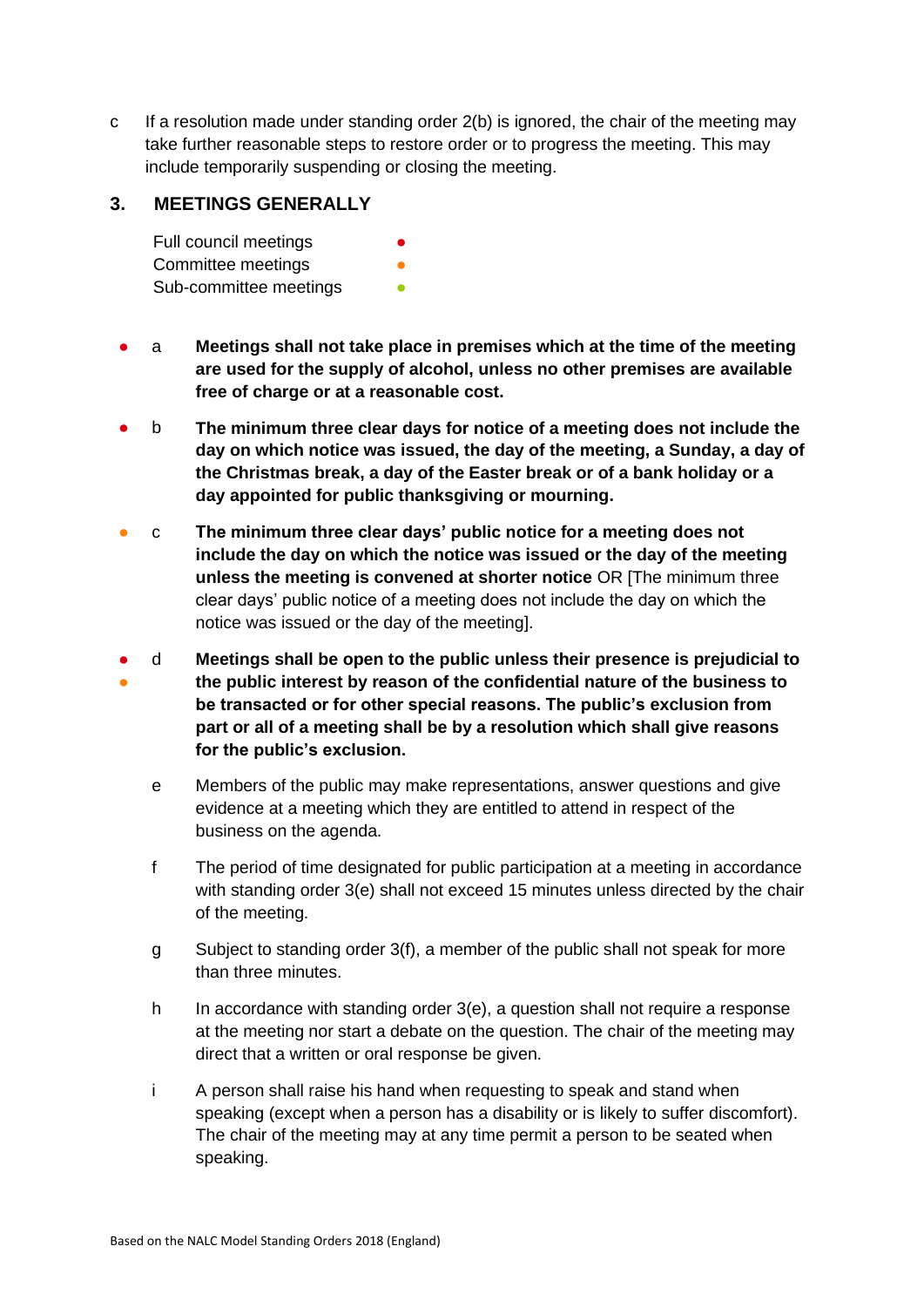c If a resolution made under standing order 2(b) is ignored, the chair of the meeting may take further reasonable steps to restore order or to progress the meeting. This may include temporarily suspending or closing the meeting.

## <span id="page-4-0"></span>**3. MEETINGS GENERALLY**

Full council meetings **•** Committee meetings **beings** Sub-committee meetings **•** 

- a **Meetings shall not take place in premises which at the time of the meeting are used for the supply of alcohol, unless no other premises are available free of charge or at a reasonable cost.**
- b **The minimum three clear days for notice of a meeting does not include the day on which notice was issued, the day of the meeting, a Sunday, a day of the Christmas break, a day of the Easter break or of a bank holiday or a day appointed for public thanksgiving or mourning.**
- c **The minimum three clear days' public notice for a meeting does not include the day on which the notice was issued or the day of the meeting unless the meeting is convened at shorter notice** OR [The minimum three clear days' public notice of a meeting does not include the day on which the notice was issued or the day of the meeting].
- ● d **Meetings shall be open to the public unless their presence is prejudicial to the public interest by reason of the confidential nature of the business to be transacted or for other special reasons. The public's exclusion from part or all of a meeting shall be by a resolution which shall give reasons for the public's exclusion.**
	- e Members of the public may make representations, answer questions and give evidence at a meeting which they are entitled to attend in respect of the business on the agenda.
	- f The period of time designated for public participation at a meeting in accordance with standing order 3(e) shall not exceed 15 minutes unless directed by the chair of the meeting.
	- g Subject to standing order 3(f), a member of the public shall not speak for more than three minutes.
	- h In accordance with standing order 3(e), a question shall not require a response at the meeting nor start a debate on the question. The chair of the meeting may direct that a written or oral response be given.
	- i A person shall raise his hand when requesting to speak and stand when speaking (except when a person has a disability or is likely to suffer discomfort). The chair of the meeting may at any time permit a person to be seated when speaking.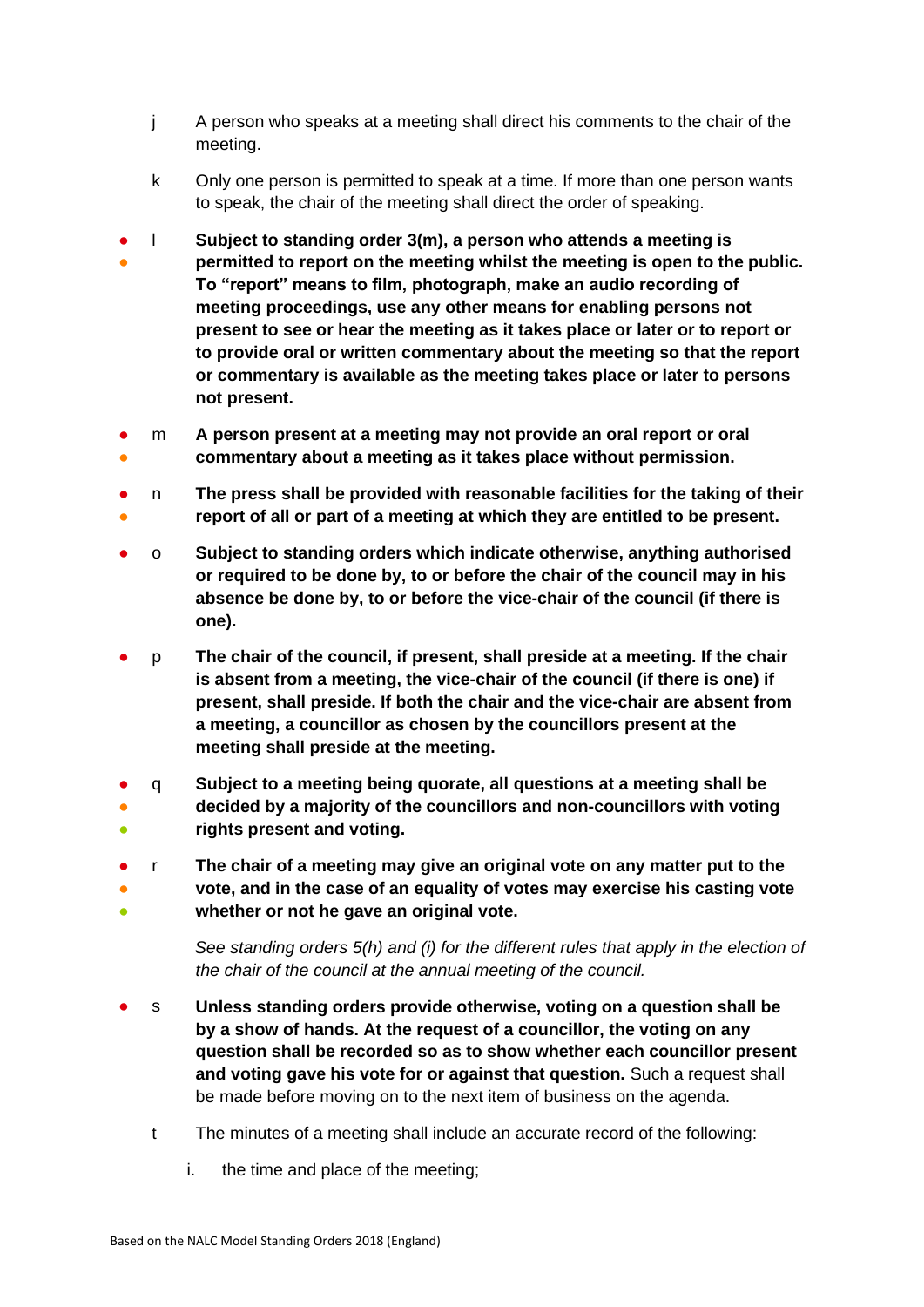- j A person who speaks at a meeting shall direct his comments to the chair of the meeting.
- k Only one person is permitted to speak at a time. If more than one person wants to speak, the chair of the meeting shall direct the order of speaking.
- ● l **Subject to standing order 3(m), a person who attends a meeting is permitted to report on the meeting whilst the meeting is open to the public. To "report" means to film, photograph, make an audio recording of meeting proceedings, use any other means for enabling persons not present to see or hear the meeting as it takes place or later or to report or to provide oral or written commentary about the meeting so that the report or commentary is available as the meeting takes place or later to persons not present.**
- ● m **A person present at a meeting may not provide an oral report or oral commentary about a meeting as it takes place without permission.**
- ● n **The press shall be provided with reasonable facilities for the taking of their report of all or part of a meeting at which they are entitled to be present.**
- o **Subject to standing orders which indicate otherwise, anything authorised or required to be done by, to or before the chair of the council may in his absence be done by, to or before the vice-chair of the council (if there is one).**
- p **The chair of the council, if present, shall preside at a meeting. If the chair is absent from a meeting, the vice-chair of the council (if there is one) if present, shall preside. If both the chair and the vice-chair are absent from a meeting, a councillor as chosen by the councillors present at the meeting shall preside at the meeting.**
- ● ● q **Subject to a meeting being quorate, all questions at a meeting shall be decided by a majority of the councillors and non-councillors with voting rights present and voting.**
- ● r **The chair of a meeting may give an original vote on any matter put to the vote, and in the case of an equality of votes may exercise his casting vote**
- **whether or not he gave an original vote.**

*See standing orders 5(h) and (i) for the different rules that apply in the election of the chair of the council at the annual meeting of the council.*

- s **Unless standing orders provide otherwise, voting on a question shall be by a show of hands. At the request of a councillor, the voting on any question shall be recorded so as to show whether each councillor present and voting gave his vote for or against that question.** Such a request shall be made before moving on to the next item of business on the agenda.
	- t The minutes of a meeting shall include an accurate record of the following:
		- i. the time and place of the meeting;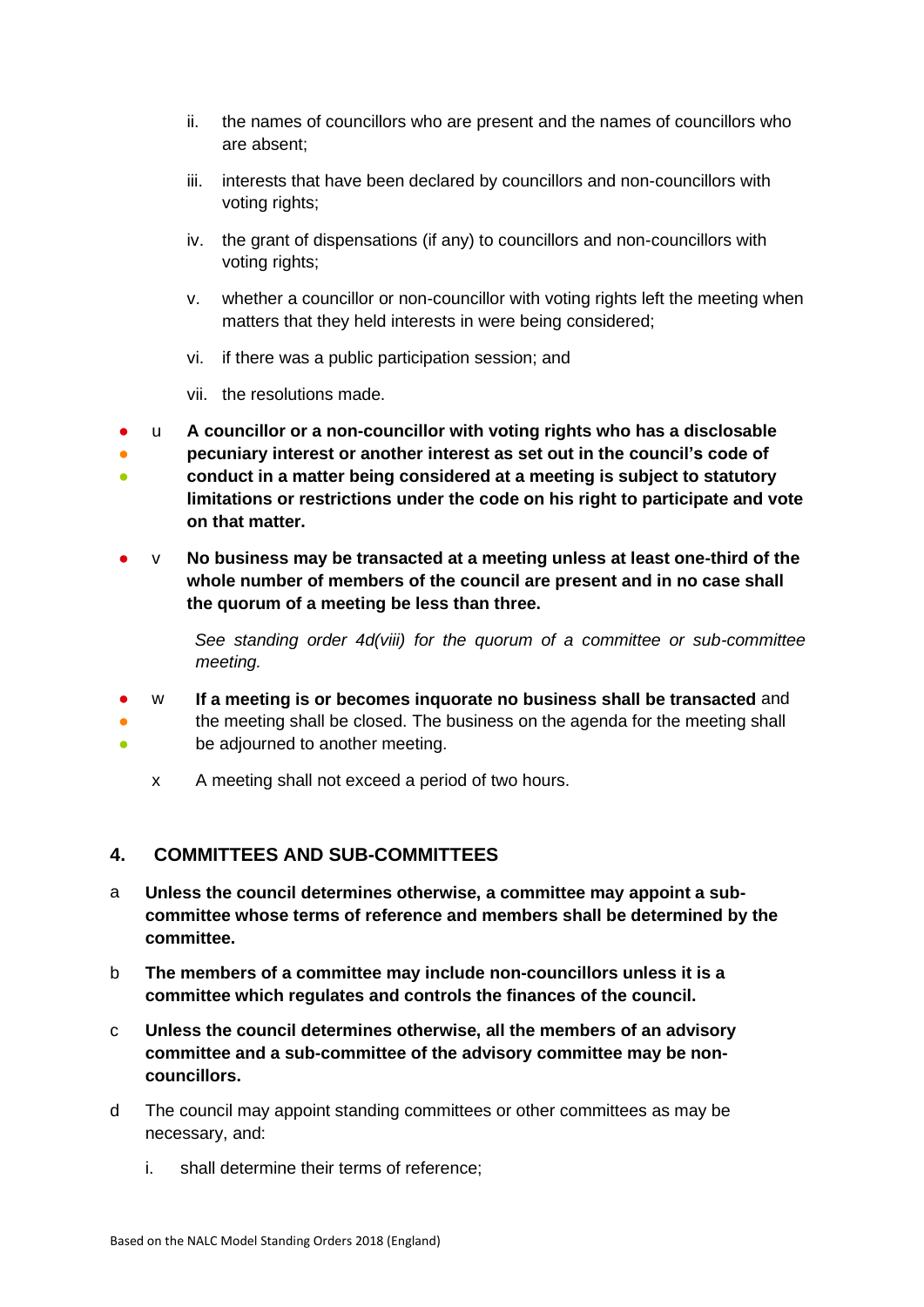- ii. the names of councillors who are present and the names of councillors who are absent;
- iii. interests that have been declared by councillors and non-councillors with voting rights;
- iv. the grant of dispensations (if any) to councillors and non-councillors with voting rights;
- v. whether a councillor or non-councillor with voting rights left the meeting when matters that they held interests in were being considered;
- vi. if there was a public participation session; and
- vii. the resolutions made.
- ● ● u **A councillor or a non-councillor with voting rights who has a disclosable pecuniary interest or another interest as set out in the council's code of conduct in a matter being considered at a meeting is subject to statutory limitations or restrictions under the code on his right to participate and vote on that matter.**
- v **No business may be transacted at a meeting unless at least one-third of the whole number of members of the council are present and in no case shall the quorum of a meeting be less than three.**

*See standing order 4d(viii) for the quorum of a committee or sub-committee meeting.* 

- w **If a meeting is or becomes inquorate no business shall be transacted** and
- the meeting shall be closed. The business on the agenda for the meeting shall
- be adjourned to another meeting.
	- x A meeting shall not exceed a period of two hours.

## <span id="page-6-0"></span>**4. COMMITTEES AND SUB-COMMITTEES**

- a **Unless the council determines otherwise, a committee may appoint a subcommittee whose terms of reference and members shall be determined by the committee.**
- b **The members of a committee may include non-councillors unless it is a committee which regulates and controls the finances of the council.**
- c **Unless the council determines otherwise, all the members of an advisory committee and a sub-committee of the advisory committee may be noncouncillors.**
- d The council may appoint standing committees or other committees as may be necessary, and:
	- i. shall determine their terms of reference;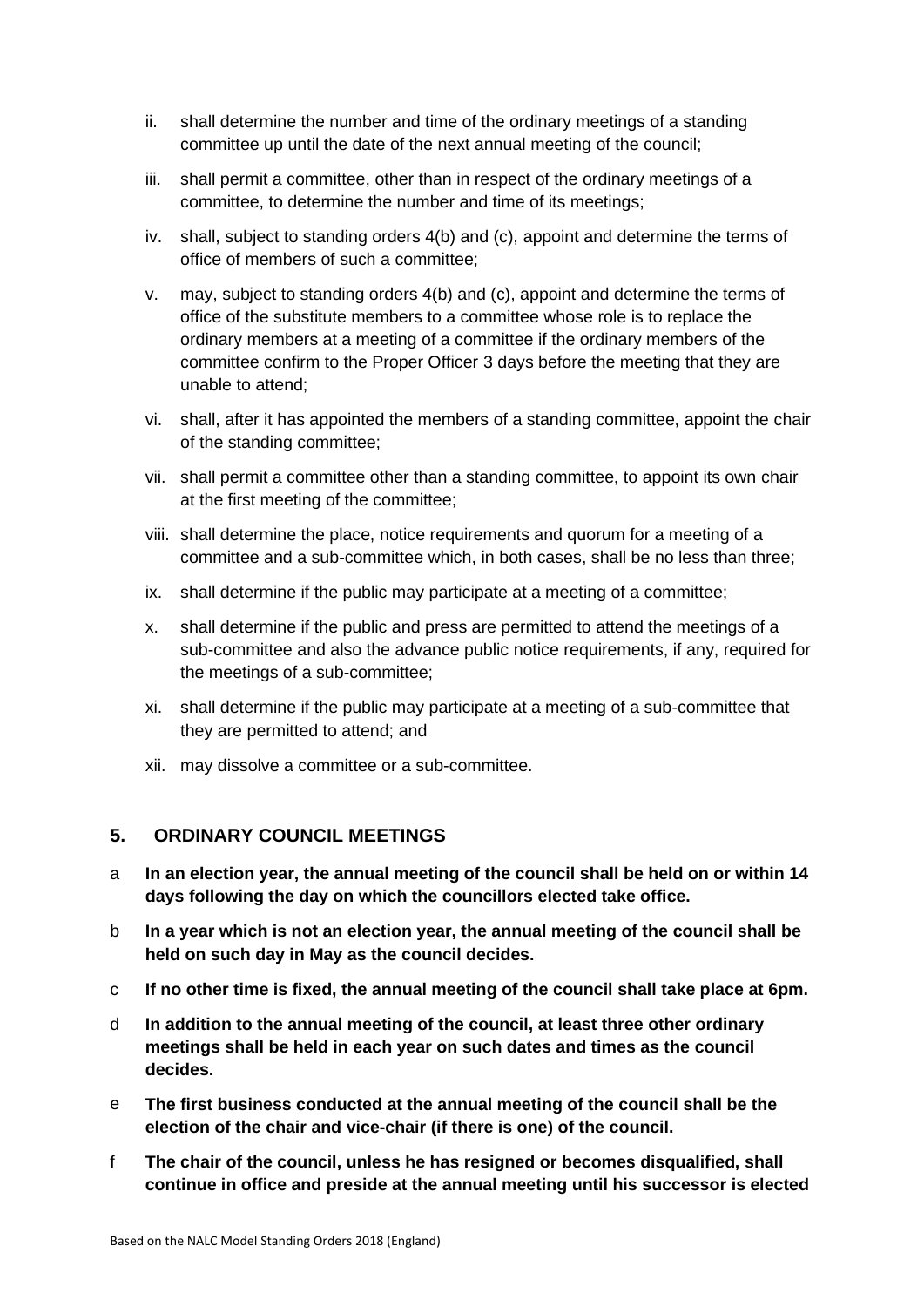- ii. shall determine the number and time of the ordinary meetings of a standing committee up until the date of the next annual meeting of the council;
- iii. shall permit a committee, other than in respect of the ordinary meetings of a committee, to determine the number and time of its meetings;
- iv. shall, subject to standing orders 4(b) and (c), appoint and determine the terms of office of members of such a committee;
- v. may, subject to standing orders 4(b) and (c), appoint and determine the terms of office of the substitute members to a committee whose role is to replace the ordinary members at a meeting of a committee if the ordinary members of the committee confirm to the Proper Officer 3 days before the meeting that they are unable to attend;
- vi. shall, after it has appointed the members of a standing committee, appoint the chair of the standing committee;
- vii. shall permit a committee other than a standing committee, to appoint its own chair at the first meeting of the committee;
- viii. shall determine the place, notice requirements and quorum for a meeting of a committee and a sub-committee which, in both cases, shall be no less than three;
- ix. shall determine if the public may participate at a meeting of a committee;
- x. shall determine if the public and press are permitted to attend the meetings of a sub-committee and also the advance public notice requirements, if any, required for the meetings of a sub-committee;
- xi. shall determine if the public may participate at a meeting of a sub-committee that they are permitted to attend; and
- xii. may dissolve a committee or a sub-committee.

#### <span id="page-7-0"></span>**5. ORDINARY COUNCIL MEETINGS**

- a **In an election year, the annual meeting of the council shall be held on or within 14 days following the day on which the councillors elected take office.**
- b **In a year which is not an election year, the annual meeting of the council shall be held on such day in May as the council decides.**
- c **If no other time is fixed, the annual meeting of the council shall take place at 6pm.**
- d **In addition to the annual meeting of the council, at least three other ordinary meetings shall be held in each year on such dates and times as the council decides.**
- e **The first business conducted at the annual meeting of the council shall be the election of the chair and vice-chair (if there is one) of the council.**
- f **The chair of the council, unless he has resigned or becomes disqualified, shall continue in office and preside at the annual meeting until his successor is elected**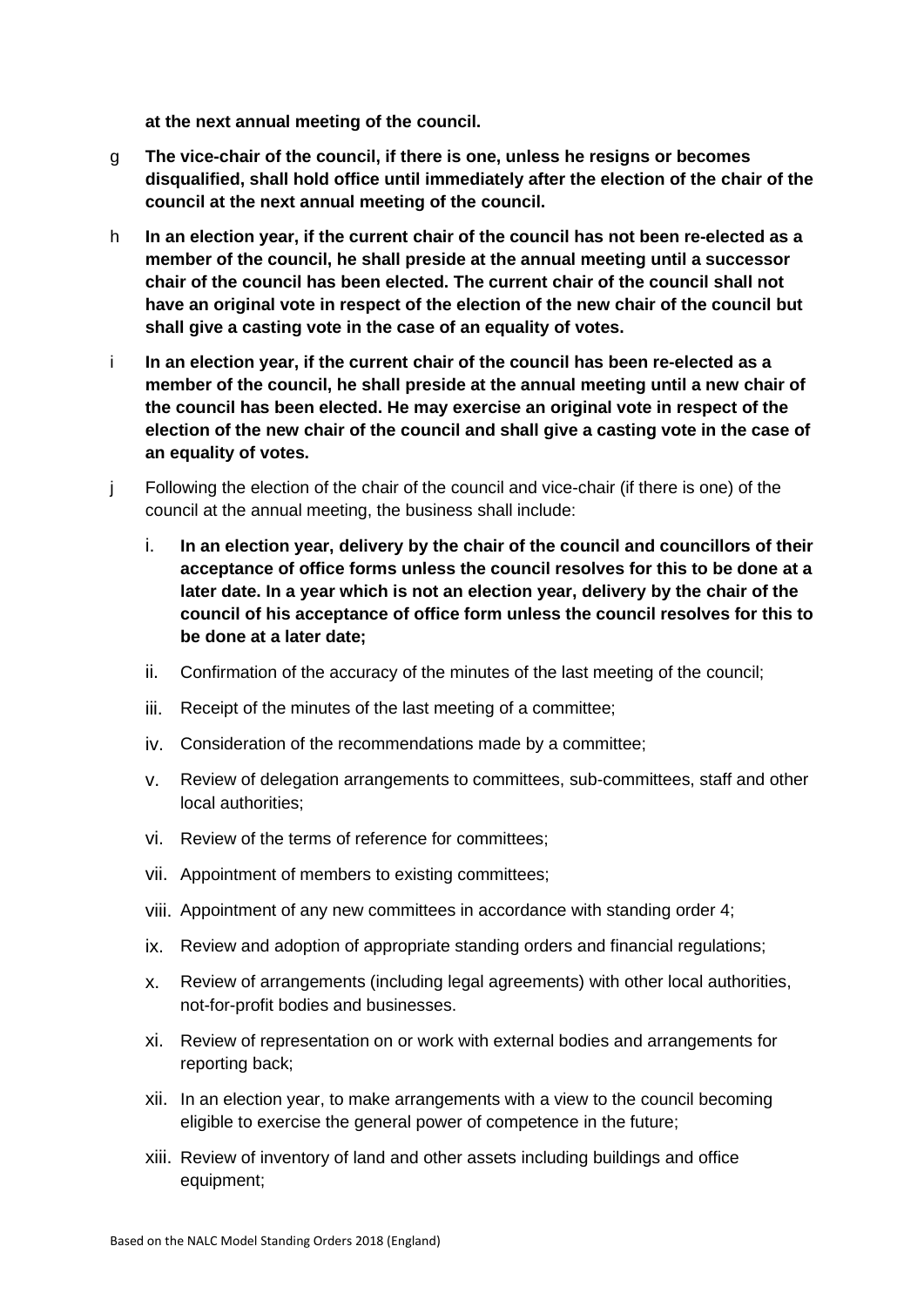**at the next annual meeting of the council.** 

- g **The vice-chair of the council, if there is one, unless he resigns or becomes disqualified, shall hold office until immediately after the election of the chair of the council at the next annual meeting of the council.**
- h **In an election year, if the current chair of the council has not been re-elected as a member of the council, he shall preside at the annual meeting until a successor chair of the council has been elected. The current chair of the council shall not have an original vote in respect of the election of the new chair of the council but shall give a casting vote in the case of an equality of votes.**
- i **In an election year, if the current chair of the council has been re-elected as a member of the council, he shall preside at the annual meeting until a new chair of the council has been elected. He may exercise an original vote in respect of the election of the new chair of the council and shall give a casting vote in the case of an equality of votes.**
- j Following the election of the chair of the council and vice-chair (if there is one) of the council at the annual meeting, the business shall include:
	- i. **In an election year, delivery by the chair of the council and councillors of their acceptance of office forms unless the council resolves for this to be done at a later date. In a year which is not an election year, delivery by the chair of the council of his acceptance of office form unless the council resolves for this to be done at a later date;**
	- ii. Confirmation of the accuracy of the minutes of the last meeting of the council;
	- iii. Receipt of the minutes of the last meeting of a committee;
	- iv. Consideration of the recommendations made by a committee;
	- v. Review of delegation arrangements to committees, sub-committees, staff and other local authorities;
	- vi. Review of the terms of reference for committees;
	- vii. Appointment of members to existing committees;
	- viii. Appointment of any new committees in accordance with standing order 4;
	- ix. Review and adoption of appropriate standing orders and financial regulations;
	- x. Review of arrangements (including legal agreements) with other local authorities, not-for-profit bodies and businesses.
	- xi. Review of representation on or work with external bodies and arrangements for reporting back;
	- xii. In an election year, to make arrangements with a view to the council becoming eligible to exercise the general power of competence in the future;
	- xiii. Review of inventory of land and other assets including buildings and office equipment;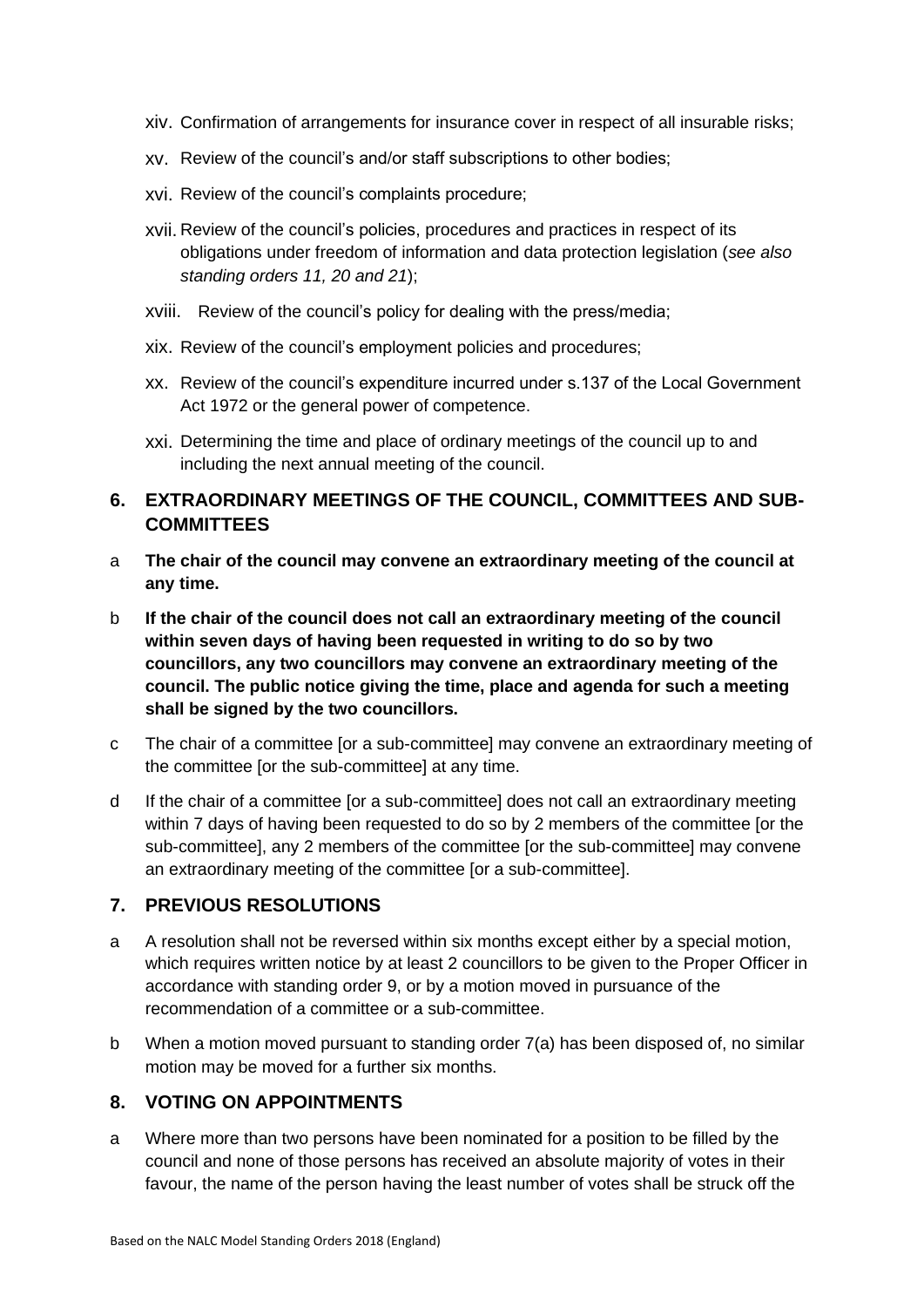- xiv. Confirmation of arrangements for insurance cover in respect of all insurable risks;
- xv. Review of the council's and/or staff subscriptions to other bodies;
- xvi. Review of the council's complaints procedure;
- xvii. Review of the council's policies, procedures and practices in respect of its obligations under freedom of information and data protection legislation (*see also standing orders 11, 20 and 21*);
- xviii. Review of the council's policy for dealing with the press/media;
- xix. Review of the council's employment policies and procedures;
- xx. Review of the council's expenditure incurred under s.137 of the Local Government Act 1972 or the general power of competence.
- xxi. Determining the time and place of ordinary meetings of the council up to and including the next annual meeting of the council.

## <span id="page-9-0"></span>**6. EXTRAORDINARY MEETINGS OF THE COUNCIL, COMMITTEES AND SUB-COMMITTEES**

- a **The chair of the council may convene an extraordinary meeting of the council at any time.**
- b **If the chair of the council does not call an extraordinary meeting of the council within seven days of having been requested in writing to do so by two councillors, any two councillors may convene an extraordinary meeting of the council. The public notice giving the time, place and agenda for such a meeting shall be signed by the two councillors.**
- c The chair of a committee [or a sub-committee] may convene an extraordinary meeting of the committee [or the sub-committee] at any time.
- d If the chair of a committee [or a sub-committee] does not call an extraordinary meeting within 7 days of having been requested to do so by 2 members of the committee [or the sub-committee], any 2 members of the committee [or the sub-committee] may convene an extraordinary meeting of the committee [or a sub-committee].

#### <span id="page-9-1"></span>**7. PREVIOUS RESOLUTIONS**

- a A resolution shall not be reversed within six months except either by a special motion, which requires written notice by at least 2 councillors to be given to the Proper Officer in accordance with standing order 9, or by a motion moved in pursuance of the recommendation of a committee or a sub-committee.
- b When a motion moved pursuant to standing order 7(a) has been disposed of, no similar motion may be moved for a further six months.

#### <span id="page-9-2"></span>**8. VOTING ON APPOINTMENTS**

a Where more than two persons have been nominated for a position to be filled by the council and none of those persons has received an absolute majority of votes in their favour, the name of the person having the least number of votes shall be struck off the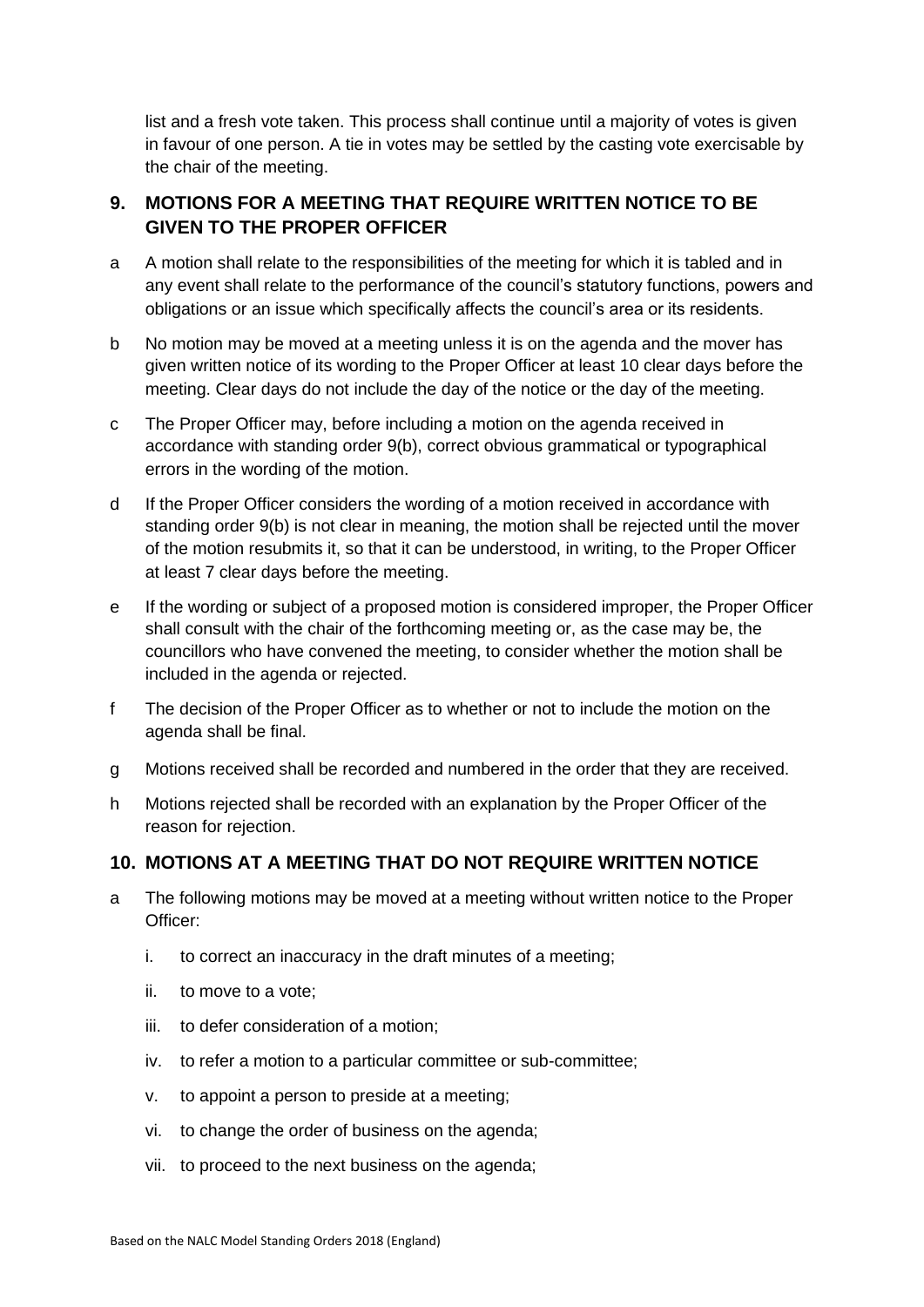list and a fresh vote taken. This process shall continue until a majority of votes is given in favour of one person. A tie in votes may be settled by the casting vote exercisable by the chair of the meeting.

## <span id="page-10-0"></span>**9. MOTIONS FOR A MEETING THAT REQUIRE WRITTEN NOTICE TO BE GIVEN TO THE PROPER OFFICER**

- a A motion shall relate to the responsibilities of the meeting for which it is tabled and in any event shall relate to the performance of the council's statutory functions, powers and obligations or an issue which specifically affects the council's area or its residents.
- b No motion may be moved at a meeting unless it is on the agenda and the mover has given written notice of its wording to the Proper Officer at least 10 clear days before the meeting. Clear days do not include the day of the notice or the day of the meeting.
- c The Proper Officer may, before including a motion on the agenda received in accordance with standing order 9(b), correct obvious grammatical or typographical errors in the wording of the motion.
- d If the Proper Officer considers the wording of a motion received in accordance with standing order 9(b) is not clear in meaning, the motion shall be rejected until the mover of the motion resubmits it, so that it can be understood, in writing, to the Proper Officer at least 7 clear days before the meeting.
- e If the wording or subject of a proposed motion is considered improper, the Proper Officer shall consult with the chair of the forthcoming meeting or, as the case may be, the councillors who have convened the meeting, to consider whether the motion shall be included in the agenda or rejected.
- f The decision of the Proper Officer as to whether or not to include the motion on the agenda shall be final.
- g Motions received shall be recorded and numbered in the order that they are received.
- h Motions rejected shall be recorded with an explanation by the Proper Officer of the reason for rejection.

#### <span id="page-10-1"></span>**10. MOTIONS AT A MEETING THAT DO NOT REQUIRE WRITTEN NOTICE**

- a The following motions may be moved at a meeting without written notice to the Proper Officer:
	- i. to correct an inaccuracy in the draft minutes of a meeting;
	- ii. to move to a vote;
	- iii. to defer consideration of a motion;
	- iv. to refer a motion to a particular committee or sub-committee;
	- v. to appoint a person to preside at a meeting;
	- vi. to change the order of business on the agenda;
	- vii. to proceed to the next business on the agenda;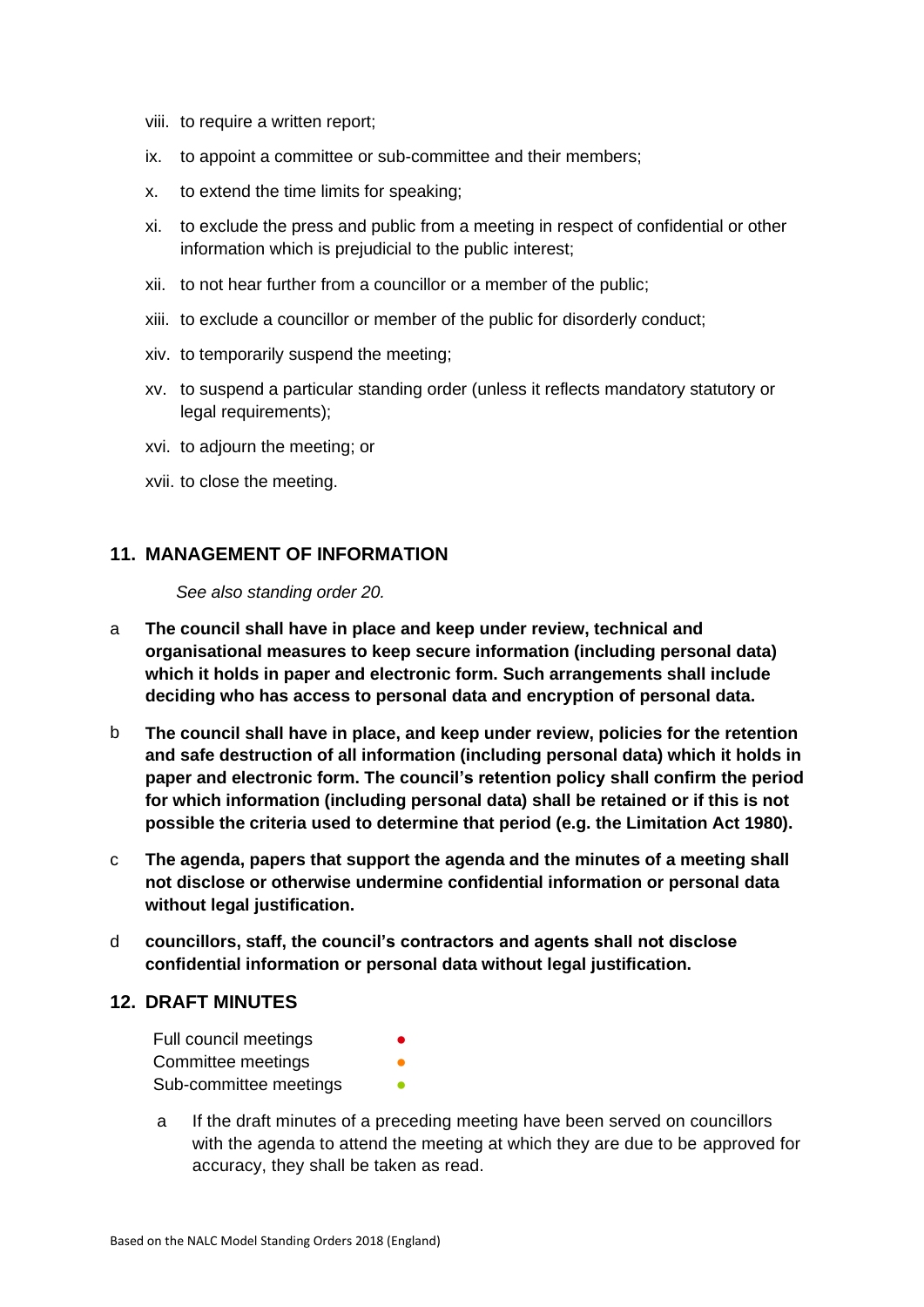- viii. to require a written report;
- ix. to appoint a committee or sub-committee and their members;
- x. to extend the time limits for speaking;
- xi. to exclude the press and public from a meeting in respect of confidential or other information which is prejudicial to the public interest;
- xii. to not hear further from a councillor or a member of the public;
- xiii. to exclude a councillor or member of the public for disorderly conduct;
- xiv. to temporarily suspend the meeting;
- xv. to suspend a particular standing order (unless it reflects mandatory statutory or legal requirements);
- xvi. to adjourn the meeting; or
- xvii. to close the meeting.

#### <span id="page-11-0"></span>**11. MANAGEMENT OF INFORMATION**

*See also standing order 20.*

- a **The council shall have in place and keep under review, technical and organisational measures to keep secure information (including personal data) which it holds in paper and electronic form. Such arrangements shall include deciding who has access to personal data and encryption of personal data.**
- b **The council shall have in place, and keep under review, policies for the retention and safe destruction of all information (including personal data) which it holds in paper and electronic form. The council's retention policy shall confirm the period for which information (including personal data) shall be retained or if this is not possible the criteria used to determine that period (e.g. the Limitation Act 1980).**
- c **The agenda, papers that support the agenda and the minutes of a meeting shall not disclose or otherwise undermine confidential information or personal data without legal justification.**
- d **councillors, staff, the council's contractors and agents shall not disclose confidential information or personal data without legal justification.**

#### <span id="page-11-1"></span>**12. DRAFT MINUTES**

- Full council meetings Committee meetings **by a committee** Sub-committee meetings **•**
- a If the draft minutes of a preceding meeting have been served on councillors with the agenda to attend the meeting at which they are due to be approved for accuracy, they shall be taken as read.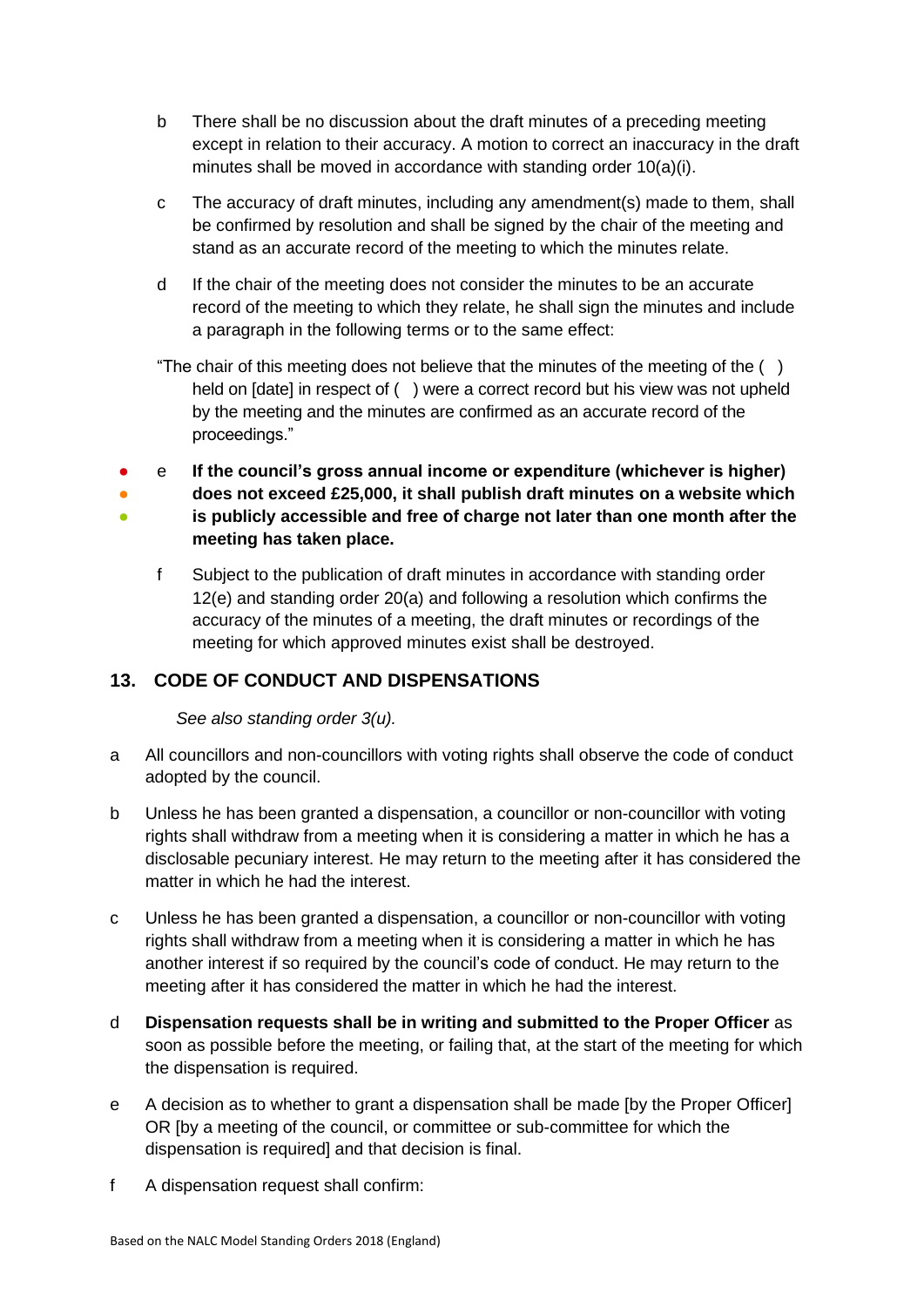- b There shall be no discussion about the draft minutes of a preceding meeting except in relation to their accuracy. A motion to correct an inaccuracy in the draft minutes shall be moved in accordance with standing order 10(a)(i).
- c The accuracy of draft minutes, including any amendment(s) made to them, shall be confirmed by resolution and shall be signed by the chair of the meeting and stand as an accurate record of the meeting to which the minutes relate.
- d If the chair of the meeting does not consider the minutes to be an accurate record of the meeting to which they relate, he shall sign the minutes and include a paragraph in the following terms or to the same effect:

"The chair of this meeting does not believe that the minutes of the meeting of the  $( )$ held on [date] in respect of () were a correct record but his view was not upheld by the meeting and the minutes are confirmed as an accurate record of the proceedings."

- e **If the council's gross annual income or expenditure (whichever is higher)**
- ● **does not exceed £25,000, it shall publish draft minutes on a website which is publicly accessible and free of charge not later than one month after the meeting has taken place.**
	- f Subject to the publication of draft minutes in accordance with standing order 12(e) and standing order 20(a) and following a resolution which confirms the accuracy of the minutes of a meeting, the draft minutes or recordings of the meeting for which approved minutes exist shall be destroyed.

# <span id="page-12-0"></span>**13. CODE OF CONDUCT AND DISPENSATIONS**

*See also standing order 3(u).* 

- a All councillors and non-councillors with voting rights shall observe the code of conduct adopted by the council.
- b Unless he has been granted a dispensation, a councillor or non-councillor with voting rights shall withdraw from a meeting when it is considering a matter in which he has a disclosable pecuniary interest. He may return to the meeting after it has considered the matter in which he had the interest.
- c Unless he has been granted a dispensation, a councillor or non-councillor with voting rights shall withdraw from a meeting when it is considering a matter in which he has another interest if so required by the council's code of conduct. He may return to the meeting after it has considered the matter in which he had the interest.
- d **Dispensation requests shall be in writing and submitted to the Proper Officer** as soon as possible before the meeting, or failing that, at the start of the meeting for which the dispensation is required.
- e A decision as to whether to grant a dispensation shall be made [by the Proper Officer] OR [by a meeting of the council, or committee or sub-committee for which the dispensation is required] and that decision is final.
- f A dispensation request shall confirm: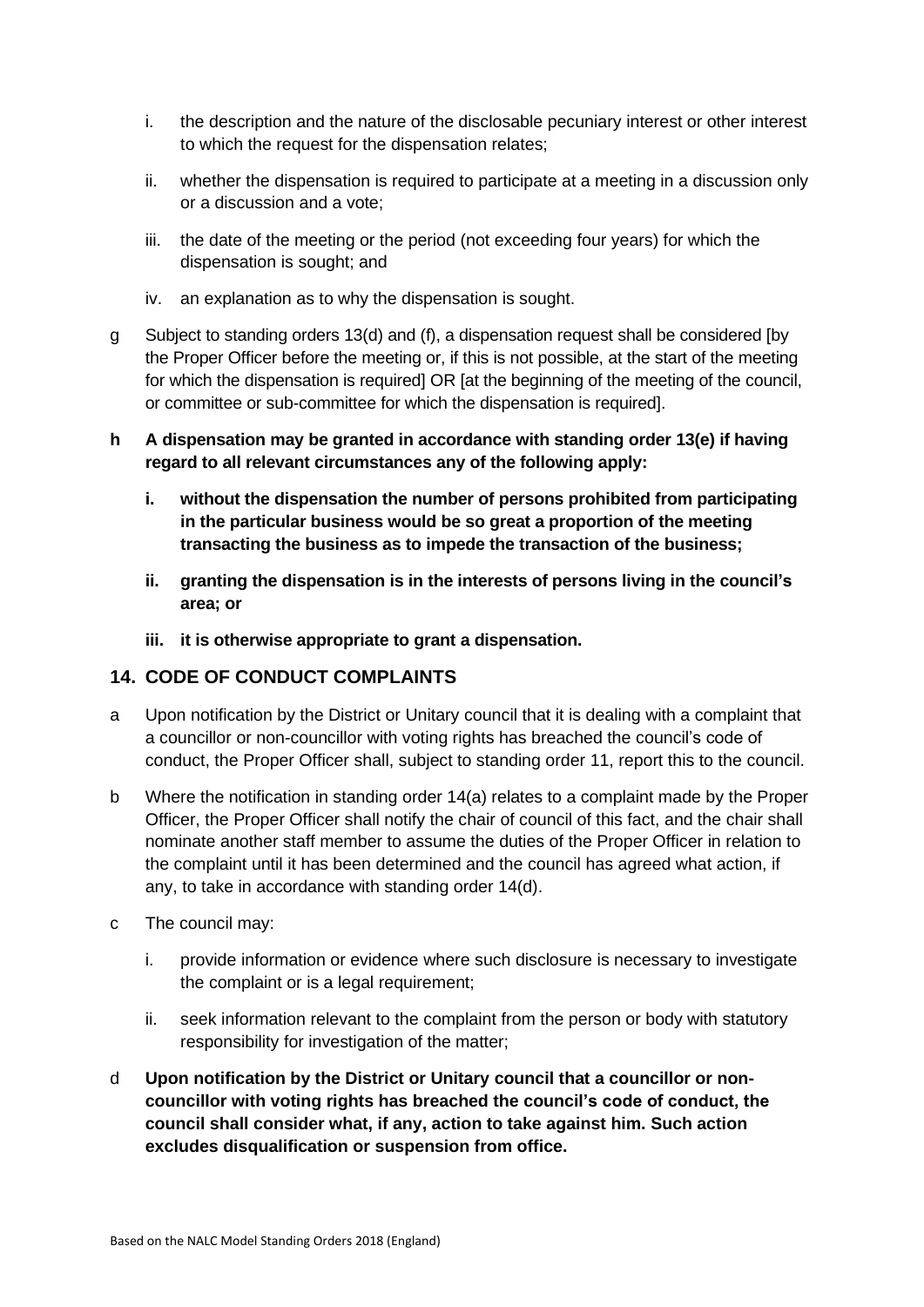- i. the description and the nature of the disclosable pecuniary interest or other interest to which the request for the dispensation relates;
- ii. whether the dispensation is required to participate at a meeting in a discussion only or a discussion and a vote;
- iii. the date of the meeting or the period (not exceeding four years) for which the dispensation is sought; and
- iv. an explanation as to why the dispensation is sought.
- g Subject to standing orders 13(d) and (f), a dispensation request shall be considered [by the Proper Officer before the meeting or, if this is not possible, at the start of the meeting for which the dispensation is required] OR [at the beginning of the meeting of the council, or committee or sub-committee for which the dispensation is required].
- **h A dispensation may be granted in accordance with standing order 13(e) if having regard to all relevant circumstances any of the following apply:**
	- **i. without the dispensation the number of persons prohibited from participating in the particular business would be so great a proportion of the meeting transacting the business as to impede the transaction of the business;**
	- **ii. granting the dispensation is in the interests of persons living in the council's area; or**
	- **iii. it is otherwise appropriate to grant a dispensation.**

#### <span id="page-13-0"></span>**14. CODE OF CONDUCT COMPLAINTS**

- a Upon notification by the District or Unitary council that it is dealing with a complaint that a councillor or non-councillor with voting rights has breached the council's code of conduct, the Proper Officer shall, subject to standing order 11, report this to the council.
- b Where the notification in standing order 14(a) relates to a complaint made by the Proper Officer, the Proper Officer shall notify the chair of council of this fact, and the chair shall nominate another staff member to assume the duties of the Proper Officer in relation to the complaint until it has been determined and the council has agreed what action, if any, to take in accordance with standing order 14(d).
- c The council may:
	- i. provide information or evidence where such disclosure is necessary to investigate the complaint or is a legal requirement:
	- ii. seek information relevant to the complaint from the person or body with statutory responsibility for investigation of the matter;
- d **Upon notification by the District or Unitary council that a councillor or noncouncillor with voting rights has breached the council's code of conduct, the council shall consider what, if any, action to take against him. Such action excludes disqualification or suspension from office.**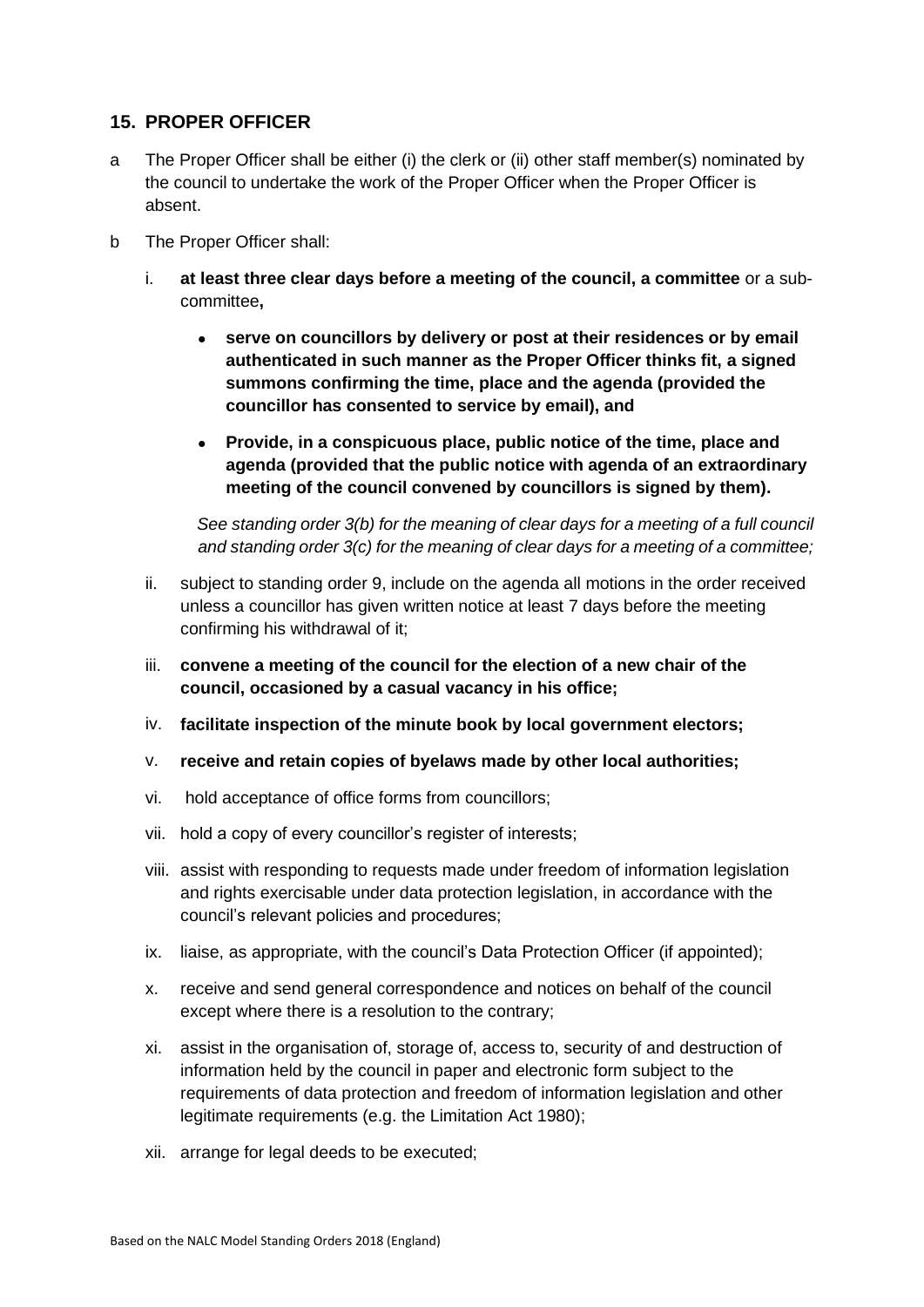#### <span id="page-14-0"></span>**15. PROPER OFFICER**

- a The Proper Officer shall be either (i) the clerk or (ii) other staff member(s) nominated by the council to undertake the work of the Proper Officer when the Proper Officer is absent.
- b The Proper Officer shall:
	- i. **at least three clear days before a meeting of the council, a committee** or a subcommittee**,**
		- **serve on councillors by delivery or post at their residences or by email authenticated in such manner as the Proper Officer thinks fit, a signed summons confirming the time, place and the agenda (provided the councillor has consented to service by email), and**
		- **Provide, in a conspicuous place, public notice of the time, place and agenda (provided that the public notice with agenda of an extraordinary meeting of the council convened by councillors is signed by them).**

*See standing order 3(b) for the meaning of clear days for a meeting of a full council and standing order 3(c) for the meaning of clear days for a meeting of a committee;*

- ii. subject to standing order 9, include on the agenda all motions in the order received unless a councillor has given written notice at least 7 days before the meeting confirming his withdrawal of it;
- iii. **convene a meeting of the council for the election of a new chair of the council, occasioned by a casual vacancy in his office;**
- iv. **facilitate inspection of the minute book by local government electors;**
- v. **receive and retain copies of byelaws made by other local authorities;**
- vi. hold acceptance of office forms from councillors;
- vii. hold a copy of every councillor's register of interests;
- viii. assist with responding to requests made under freedom of information legislation and rights exercisable under data protection legislation, in accordance with the council's relevant policies and procedures;
- ix. liaise, as appropriate, with the council's Data Protection Officer (if appointed);
- x. receive and send general correspondence and notices on behalf of the council except where there is a resolution to the contrary;
- xi. assist in the organisation of, storage of, access to, security of and destruction of information held by the council in paper and electronic form subject to the requirements of data protection and freedom of information legislation and other legitimate requirements (e.g. the Limitation Act 1980);
- xii. arrange for legal deeds to be executed;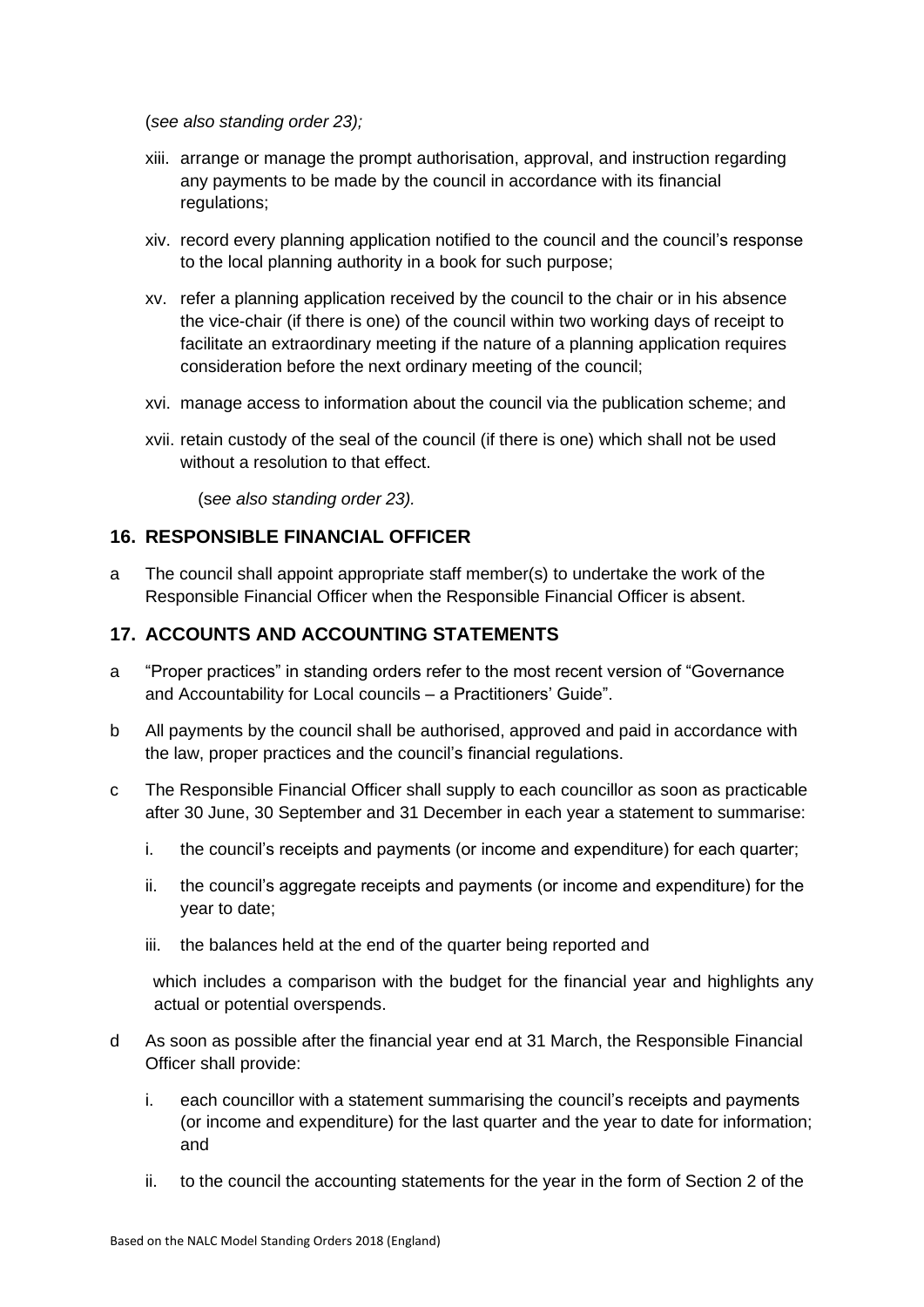(*see also standing order 23);*

- xiii. arrange or manage the prompt authorisation, approval, and instruction regarding any payments to be made by the council in accordance with its financial regulations;
- xiv. record every planning application notified to the council and the council's response to the local planning authority in a book for such purpose;
- xv. refer a planning application received by the council to the chair or in his absence the vice-chair (if there is one) of the council within two working days of receipt to facilitate an extraordinary meeting if the nature of a planning application requires consideration before the next ordinary meeting of the council;
- xvi. manage access to information about the council via the publication scheme; and
- xvii. retain custody of the seal of the council (if there is one) which shall not be used without a resolution to that effect.

(s*ee also standing order 23).*

## <span id="page-15-0"></span>**16. RESPONSIBLE FINANCIAL OFFICER**

a The council shall appoint appropriate staff member(s) to undertake the work of the Responsible Financial Officer when the Responsible Financial Officer is absent.

## <span id="page-15-1"></span>**17. ACCOUNTS AND ACCOUNTING STATEMENTS**

- a "Proper practices" in standing orders refer to the most recent version of "Governance and Accountability for Local councils – a Practitioners' Guide".
- b All payments by the council shall be authorised, approved and paid in accordance with the law, proper practices and the council's financial regulations.
- c The Responsible Financial Officer shall supply to each councillor as soon as practicable after 30 June, 30 September and 31 December in each year a statement to summarise:
	- i. the council's receipts and payments (or income and expenditure) for each quarter;
	- ii. the council's aggregate receipts and payments (or income and expenditure) for the year to date;
	- iii. the balances held at the end of the quarter being reported and

which includes a comparison with the budget for the financial year and highlights any actual or potential overspends.

- d As soon as possible after the financial year end at 31 March, the Responsible Financial Officer shall provide:
	- i. each councillor with a statement summarising the council's receipts and payments (or income and expenditure) for the last quarter and the year to date for information; and
	- ii. to the council the accounting statements for the year in the form of Section 2 of the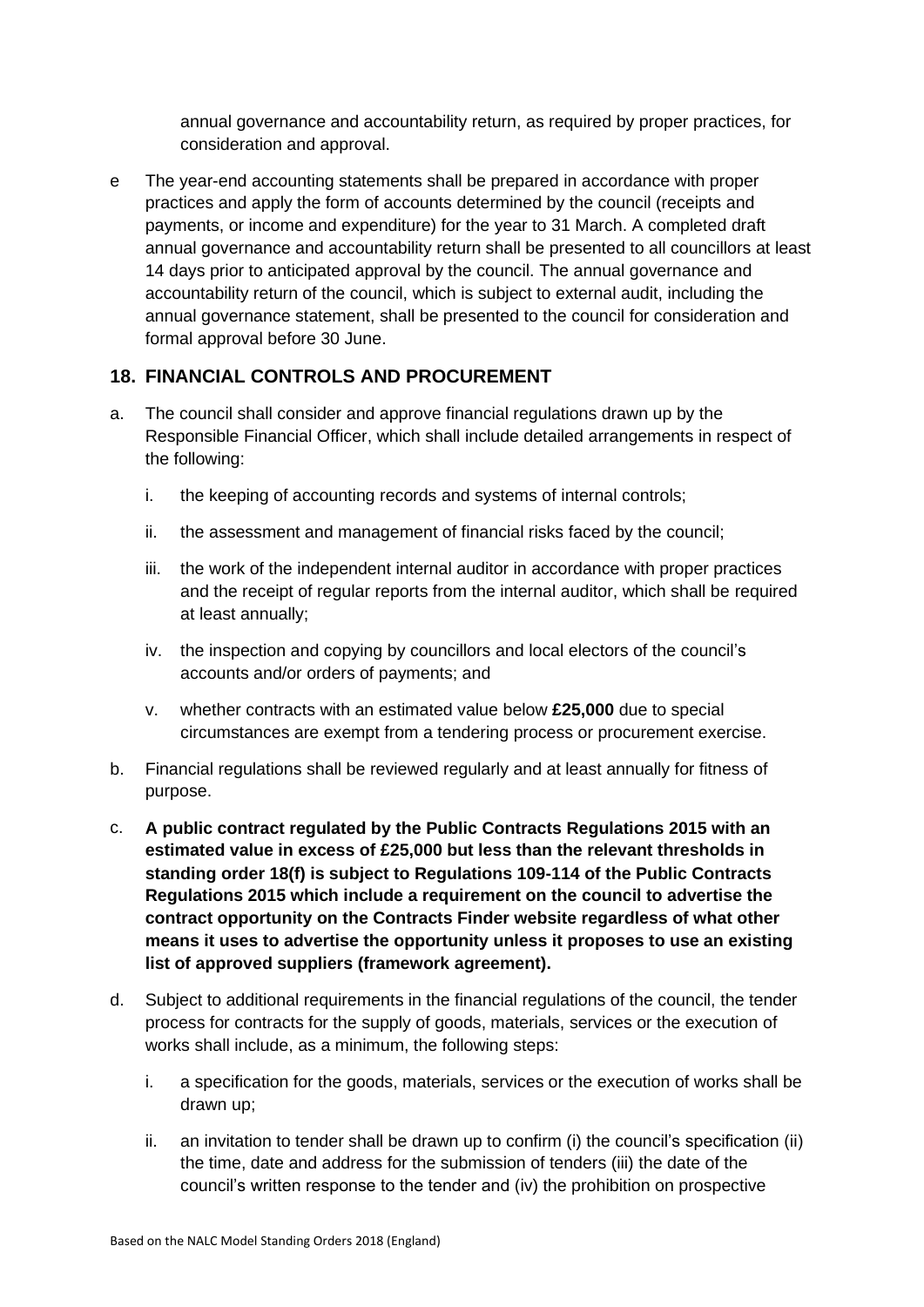annual governance and accountability return, as required by proper practices, for consideration and approval.

e The year-end accounting statements shall be prepared in accordance with proper practices and apply the form of accounts determined by the council (receipts and payments, or income and expenditure) for the year to 31 March. A completed draft annual governance and accountability return shall be presented to all councillors at least 14 days prior to anticipated approval by the council. The annual governance and accountability return of the council, which is subject to external audit, including the annual governance statement, shall be presented to the council for consideration and formal approval before 30 June.

## <span id="page-16-0"></span>**18. FINANCIAL CONTROLS AND PROCUREMENT**

- a. The council shall consider and approve financial regulations drawn up by the Responsible Financial Officer, which shall include detailed arrangements in respect of the following:
	- i. the keeping of accounting records and systems of internal controls;
	- ii. the assessment and management of financial risks faced by the council;
	- iii. the work of the independent internal auditor in accordance with proper practices and the receipt of regular reports from the internal auditor, which shall be required at least annually;
	- iv. the inspection and copying by councillors and local electors of the council's accounts and/or orders of payments; and
	- v. whether contracts with an estimated value below **£25,000** due to special circumstances are exempt from a tendering process or procurement exercise.
- b. Financial regulations shall be reviewed regularly and at least annually for fitness of purpose.
- c. **A public contract regulated by the Public Contracts Regulations 2015 with an estimated value in excess of £25,000 but less than the relevant thresholds in standing order 18(f) is subject to Regulations 109-114 of the Public Contracts Regulations 2015 which include a requirement on the council to advertise the contract opportunity on the Contracts Finder website regardless of what other means it uses to advertise the opportunity unless it proposes to use an existing list of approved suppliers (framework agreement).**
- d. Subject to additional requirements in the financial regulations of the council, the tender process for contracts for the supply of goods, materials, services or the execution of works shall include, as a minimum, the following steps:
	- i. a specification for the goods, materials, services or the execution of works shall be drawn up;
	- ii. an invitation to tender shall be drawn up to confirm (i) the council's specification (ii) the time, date and address for the submission of tenders (iii) the date of the council's written response to the tender and (iv) the prohibition on prospective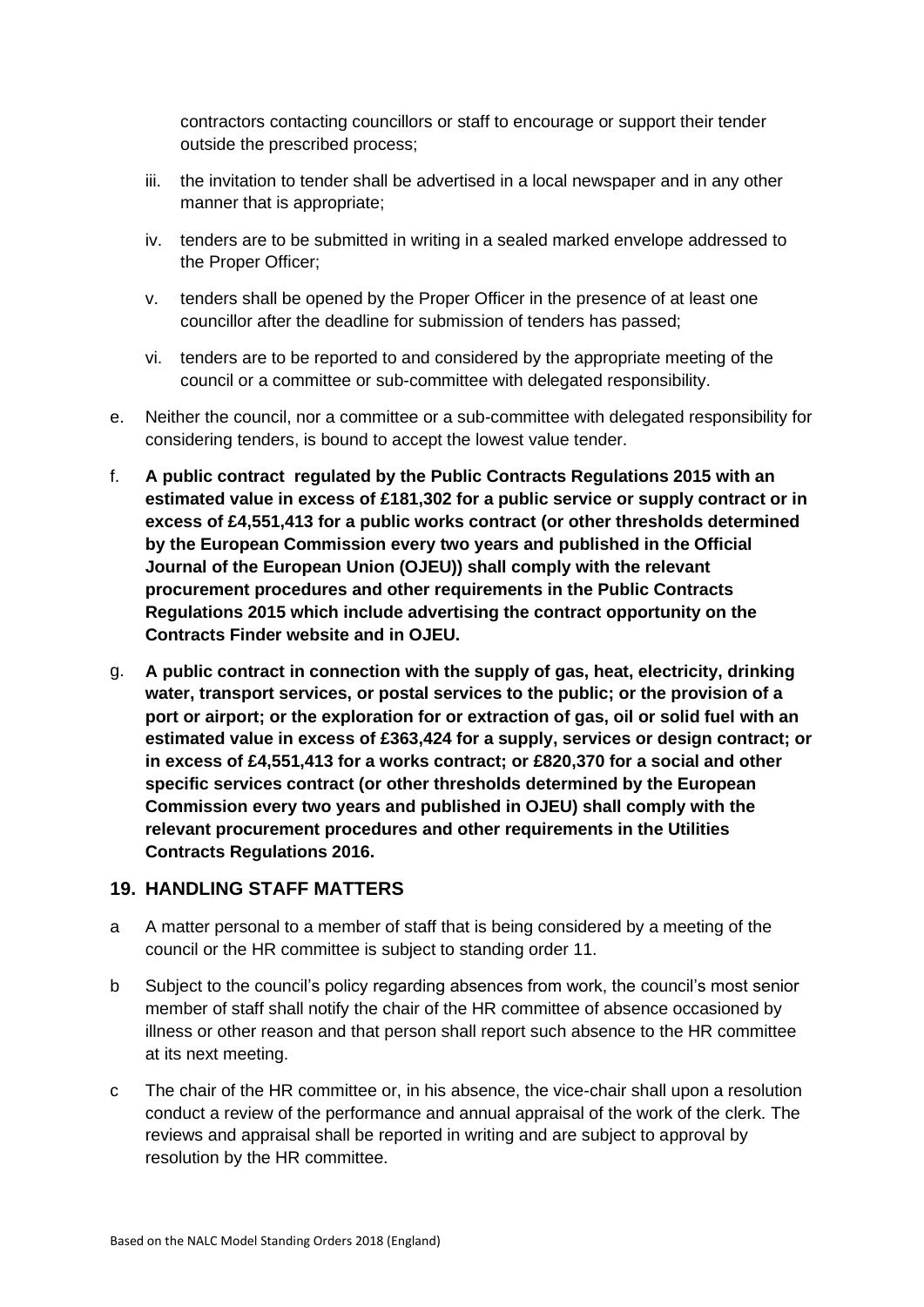contractors contacting councillors or staff to encourage or support their tender outside the prescribed process;

- iii. the invitation to tender shall be advertised in a local newspaper and in any other manner that is appropriate;
- iv. tenders are to be submitted in writing in a sealed marked envelope addressed to the Proper Officer;
- v. tenders shall be opened by the Proper Officer in the presence of at least one councillor after the deadline for submission of tenders has passed;
- vi. tenders are to be reported to and considered by the appropriate meeting of the council or a committee or sub-committee with delegated responsibility.
- e. Neither the council, nor a committee or a sub-committee with delegated responsibility for considering tenders, is bound to accept the lowest value tender.
- f. **A public contract regulated by the Public Contracts Regulations 2015 with an estimated value in excess of £181,302 for a public service or supply contract or in excess of £4,551,413 for a public works contract (or other thresholds determined by the European Commission every two years and published in the Official Journal of the European Union (OJEU)) shall comply with the relevant procurement procedures and other requirements in the Public Contracts Regulations 2015 which include advertising the contract opportunity on the Contracts Finder website and in OJEU.**
- g. **A public contract in connection with the supply of gas, heat, electricity, drinking water, transport services, or postal services to the public; or the provision of a port or airport; or the exploration for or extraction of gas, oil or solid fuel with an estimated value in excess of £363,424 for a supply, services or design contract; or in excess of £4,551,413 for a works contract; or £820,370 for a social and other specific services contract (or other thresholds determined by the European Commission every two years and published in OJEU) shall comply with the relevant procurement procedures and other requirements in the Utilities Contracts Regulations 2016.**

#### <span id="page-17-0"></span>**19. HANDLING STAFF MATTERS**

- a A matter personal to a member of staff that is being considered by a meeting of the council or the HR committee is subject to standing order 11.
- b Subject to the council's policy regarding absences from work, the council's most senior member of staff shall notify the chair of the HR committee of absence occasioned by illness or other reason and that person shall report such absence to the HR committee at its next meeting.
- c The chair of the HR committee or, in his absence, the vice-chair shall upon a resolution conduct a review of the performance and annual appraisal of the work of the clerk. The reviews and appraisal shall be reported in writing and are subject to approval by resolution by the HR committee.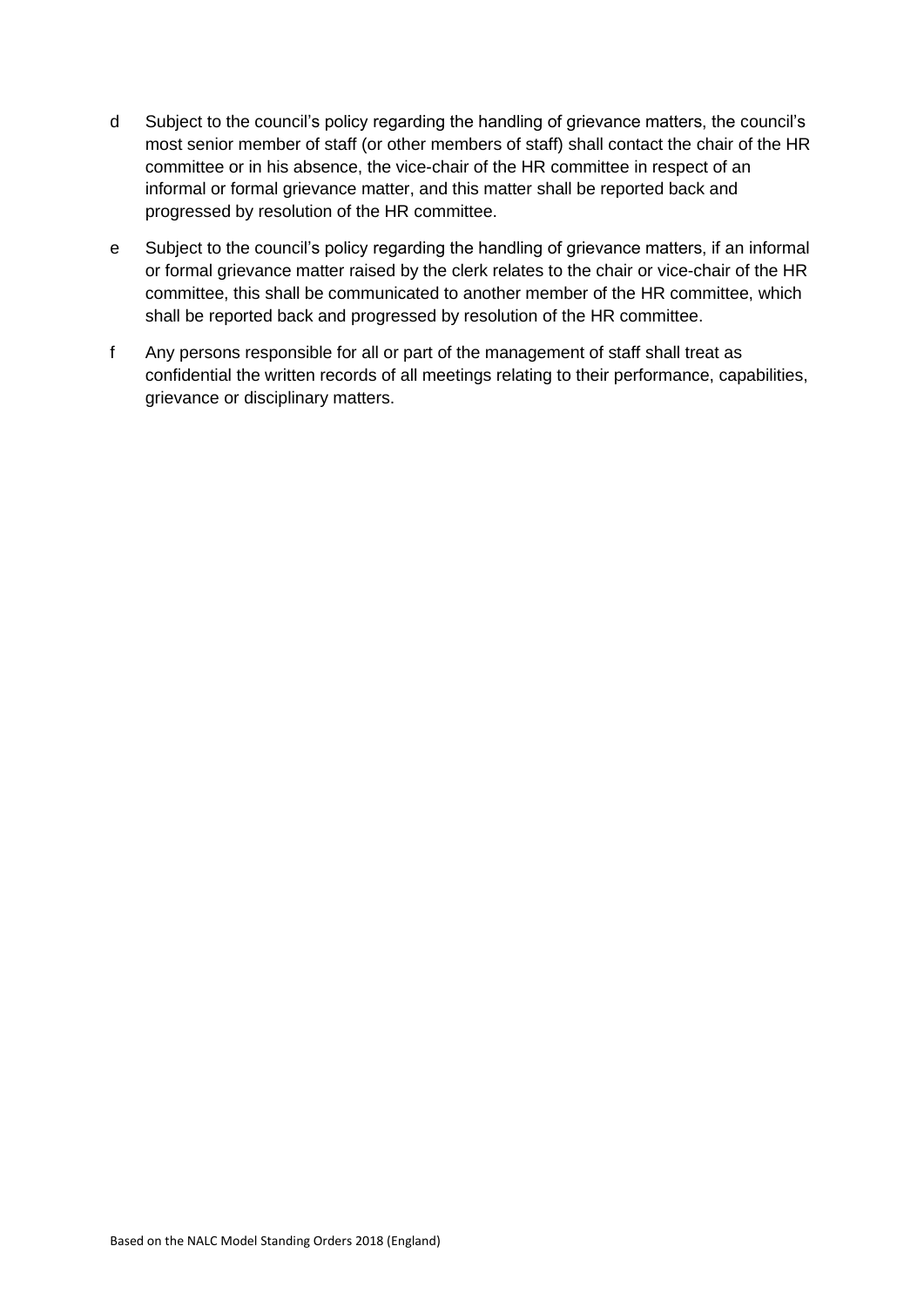- d Subject to the council's policy regarding the handling of grievance matters, the council's most senior member of staff (or other members of staff) shall contact the chair of the HR committee or in his absence, the vice-chair of the HR committee in respect of an informal or formal grievance matter, and this matter shall be reported back and progressed by resolution of the HR committee.
- e Subject to the council's policy regarding the handling of grievance matters, if an informal or formal grievance matter raised by the clerk relates to the chair or vice-chair of the HR committee, this shall be communicated to another member of the HR committee, which shall be reported back and progressed by resolution of the HR committee.
- f Any persons responsible for all or part of the management of staff shall treat as confidential the written records of all meetings relating to their performance, capabilities, grievance or disciplinary matters.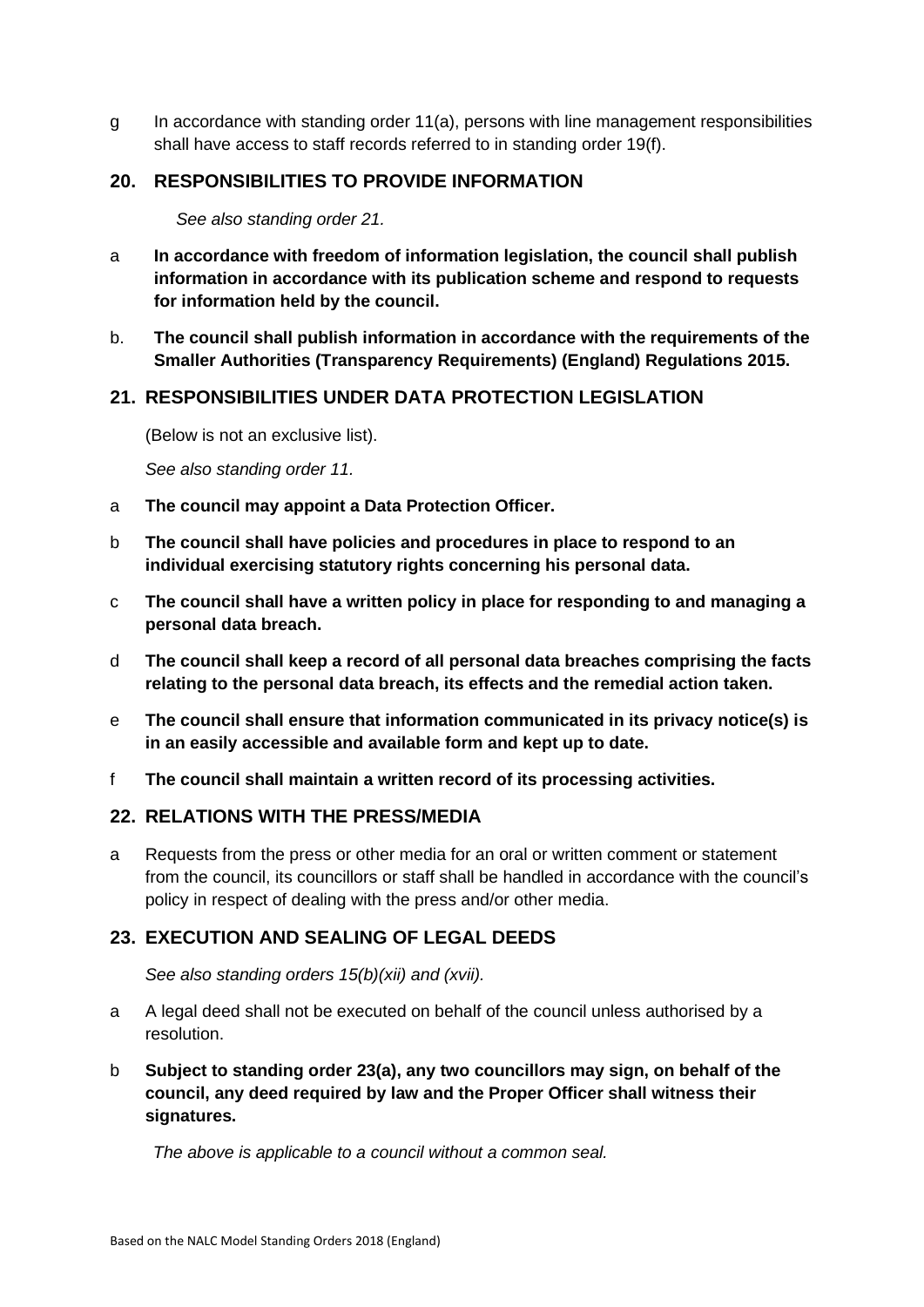g In accordance with standing order 11(a), persons with line management responsibilities shall have access to staff records referred to in standing order 19(f).

## <span id="page-19-0"></span>**20. RESPONSIBILITIES TO PROVIDE INFORMATION**

*See also standing order 21.*

- a **In accordance with freedom of information legislation, the council shall publish information in accordance with its publication scheme and respond to requests for information held by the council.**
- b. **The council shall publish information in accordance with the requirements of the Smaller Authorities (Transparency Requirements) (England) Regulations 2015.**

## <span id="page-19-1"></span>**21. RESPONSIBILITIES UNDER DATA PROTECTION LEGISLATION**

(Below is not an exclusive list).

*See also standing order 11.*

- a **The council may appoint a Data Protection Officer.**
- b **The council shall have policies and procedures in place to respond to an individual exercising statutory rights concerning his personal data.**
- c **The council shall have a written policy in place for responding to and managing a personal data breach.**
- d **The council shall keep a record of all personal data breaches comprising the facts relating to the personal data breach, its effects and the remedial action taken.**
- e **The council shall ensure that information communicated in its privacy notice(s) is in an easily accessible and available form and kept up to date.**
- f **The council shall maintain a written record of its processing activities.**

#### <span id="page-19-2"></span>**22. RELATIONS WITH THE PRESS/MEDIA**

a Requests from the press or other media for an oral or written comment or statement from the council, its councillors or staff shall be handled in accordance with the council's policy in respect of dealing with the press and/or other media.

#### <span id="page-19-3"></span>**23. EXECUTION AND SEALING OF LEGAL DEEDS**

*See also standing orders 15(b)(xii) and (xvii).*

- a A legal deed shall not be executed on behalf of the council unless authorised by a resolution.
- b **Subject to standing order 23(a), any two councillors may sign, on behalf of the council, any deed required by law and the Proper Officer shall witness their signatures.**

*The above is applicable to a council without a common seal.*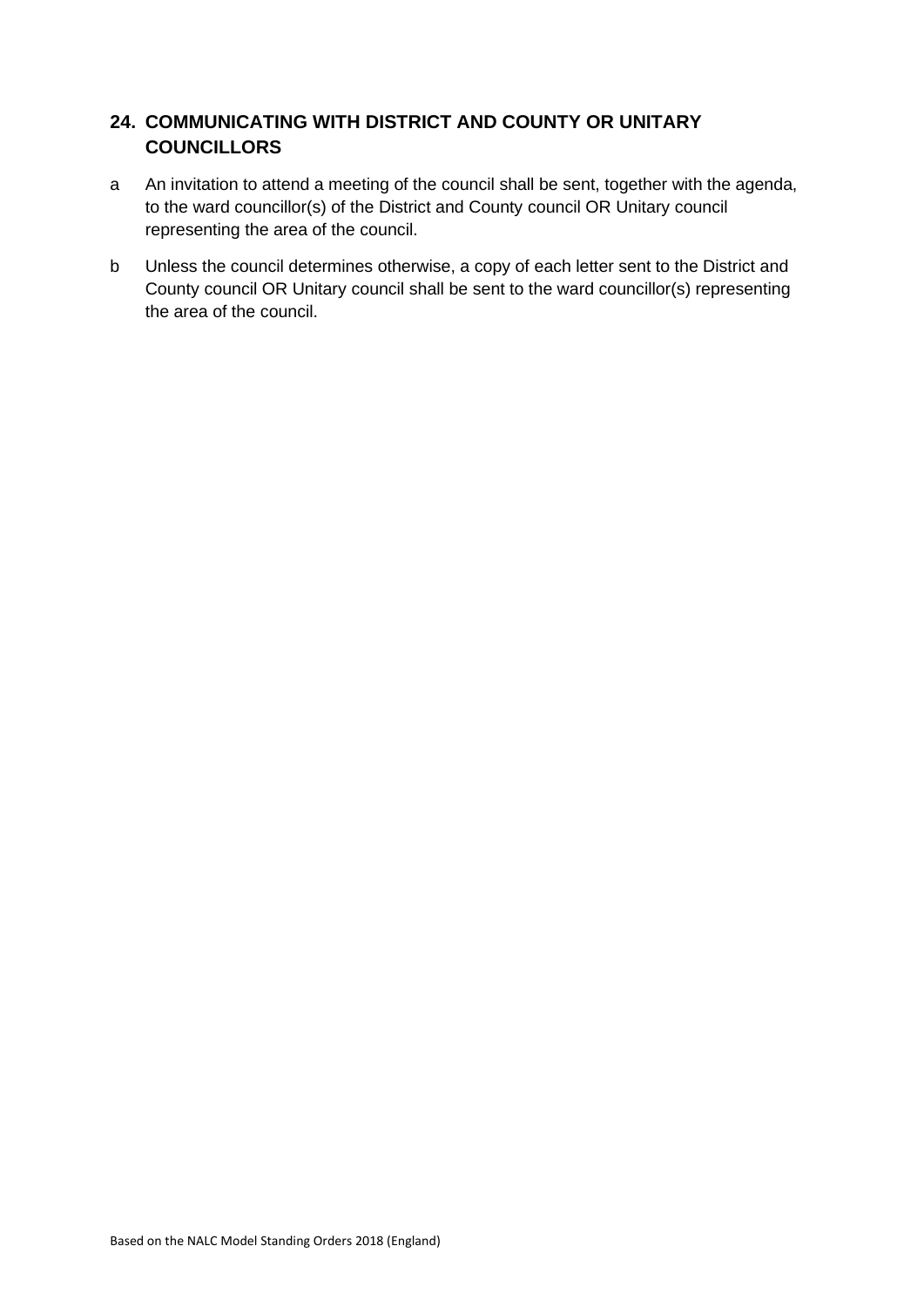## <span id="page-20-0"></span>**24. COMMUNICATING WITH DISTRICT AND COUNTY OR UNITARY COUNCILLORS**

- a An invitation to attend a meeting of the council shall be sent, together with the agenda, to the ward councillor(s) of the District and County council OR Unitary council representing the area of the council.
- b Unless the council determines otherwise, a copy of each letter sent to the District and County council OR Unitary council shall be sent to the ward councillor(s) representing the area of the council.